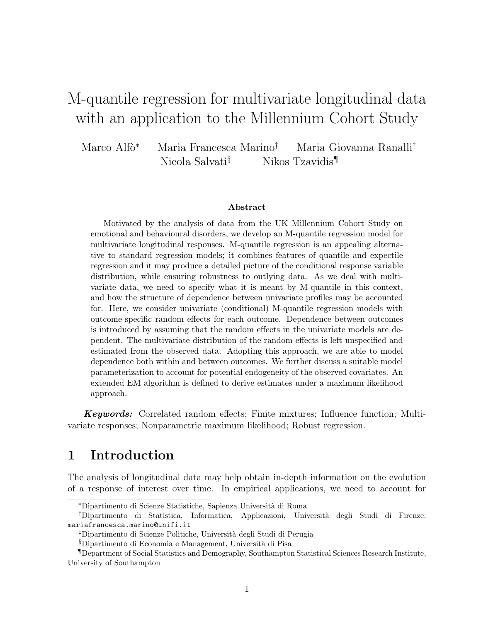# M-quantile regression for multivariate longitudinal data with an application to the Millennium Cohort Study

Marco Alfò<sup>∗</sup> Maria Francesca Marino<sup>†</sup> Maria Giovanna Ranalli<sup>‡</sup> Nicola Salvati<sup>§</sup> Nikos Tzavidis<sup>¶</sup>

#### Abstract

Motivated by the analysis of data from the UK Millennium Cohort Study on emotional and behavioural disorders, we develop an M-quantile regression model for multivariate longitudinal responses. M-quantile regression is an appealing alternative to standard regression models; it combines features of quantile and expectile regression and it may produce a detailed picture of the conditional response variable distribution, while ensuring robustness to outlying data. As we deal with multivariate data, we need to specify what it is meant by M-quantile in this context, and how the structure of dependence between univariate profiles may be accounted for. Here, we consider univariate (conditional) M-quantile regression models with outcome-specific random effects for each outcome. Dependence between outcomes is introduced by assuming that the random effects in the univariate models are dependent. The multivariate distribution of the random effects is left unspecified and estimated from the observed data. Adopting this approach, we are able to model dependence both within and between outcomes. We further discuss a suitable model parameterization to account for potential endogeneity of the observed covariates. An extended EM algorithm is defined to derive estimates under a maximum likelihood approach.

Keywords: Correlated random effects; Finite mixtures; Influence function; Multivariate responses; Nonparametric maximum likelihood; Robust regression.

# 1 Introduction

The analysis of longitudinal data may help obtain in-depth information on the evolution of a response of interest over time. In empirical applications, we need to account for

<sup>∗</sup>Dipartimento di Scienze Statistiche, Sapienza Universit`a di Roma

<sup>†</sup>Dipartimento di Statistica, Informatica, Applicazioni, Universit`a degli Studi di Firenze. mariafrancesca.marino@unifi.it

<sup>‡</sup>Dipartimento di Scienze Politiche, Universit`a degli Studi di Perugia

<sup>§</sup>Dipartimento di Economia e Management, Universit`a di Pisa

<sup>¶</sup>Department of Social Statistics and Demography, Southampton Statistical Sciences Research Institute, University of Southampton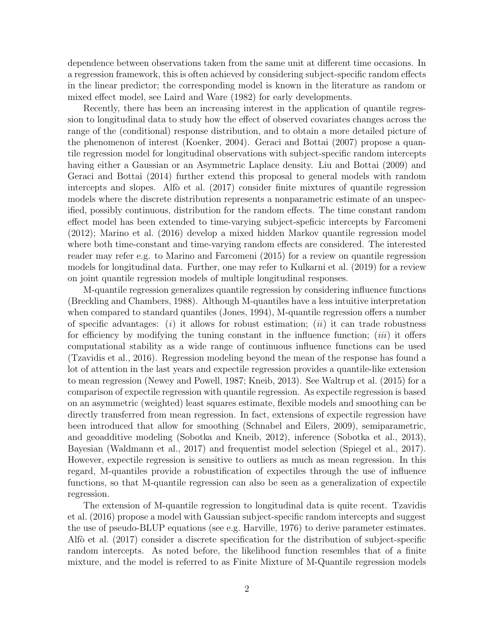dependence between observations taken from the same unit at different time occasions. In a regression framework, this is often achieved by considering subject-specific random effects in the linear predictor; the corresponding model is known in the literature as random or mixed effect model, see Laird and Ware (1982) for early developments.

Recently, there has been an increasing interest in the application of quantile regression to longitudinal data to study how the effect of observed covariates changes across the range of the (conditional) response distribution, and to obtain a more detailed picture of the phenomenon of interest (Koenker, 2004). Geraci and Bottai (2007) propose a quantile regression model for longitudinal observations with subject-specific random intercepts having either a Gaussian or an Asymmetric Laplace density. Liu and Bottai (2009) and Geraci and Bottai (2014) further extend this proposal to general models with random intercepts and slopes. Alfò et al.  $(2017)$  consider finite mixtures of quantile regression models where the discrete distribution represents a nonparametric estimate of an unspecified, possibly continuous, distribution for the random effects. The time constant random effect model has been extended to time-varying subject-speficic intercepts by Farcomeni (2012); Marino et al. (2016) develop a mixed hidden Markov quantile regression model where both time-constant and time-varying random effects are considered. The interested reader may refer e.g. to Marino and Farcomeni (2015) for a review on quantile regression models for longitudinal data. Further, one may refer to Kulkarni et al. (2019) for a review on joint quantile regression models of multiple longitudinal responses.

M-quantile regression generalizes quantile regression by considering influence functions (Breckling and Chambers, 1988). Although M-quantiles have a less intuitive interpretation when compared to standard quantiles (Jones, 1994), M-quantile regression offers a number of specific advantages: (i) it allows for robust estimation; (ii) it can trade robustness for efficiency by modifying the tuning constant in the influence function; *(iii)* it offers computational stability as a wide range of continuous influence functions can be used (Tzavidis et al., 2016). Regression modeling beyond the mean of the response has found a lot of attention in the last years and expectile regression provides a quantile-like extension to mean regression (Newey and Powell, 1987; Kneib, 2013). See Waltrup et al. (2015) for a comparison of expectile regression with quantile regression. As expectile regression is based on an asymmetric (weighted) least squares estimate, flexible models and smoothing can be directly transferred from mean regression. In fact, extensions of expectile regression have been introduced that allow for smoothing (Schnabel and Eilers, 2009), semiparametric, and geoadditive modeling (Sobotka and Kneib, 2012), inference (Sobotka et al., 2013), Bayesian (Waldmann et al., 2017) and frequentist model selection (Spiegel et al., 2017). However, expectile regression is sensitive to outliers as much as mean regression. In this regard, M-quantiles provide a robustification of expectiles through the use of influence functions, so that M-quantile regression can also be seen as a generalization of expectile regression.

The extension of M-quantile regression to longitudinal data is quite recent. Tzavidis et al. (2016) propose a model with Gaussian subject-specific random intercepts and suggest the use of pseudo-BLUP equations (see e.g. Harville, 1976) to derive parameter estimates. Alfò et al. (2017) consider a discrete specification for the distribution of subject-specific random intercepts. As noted before, the likelihood function resembles that of a finite mixture, and the model is referred to as Finite Mixture of M-Quantile regression models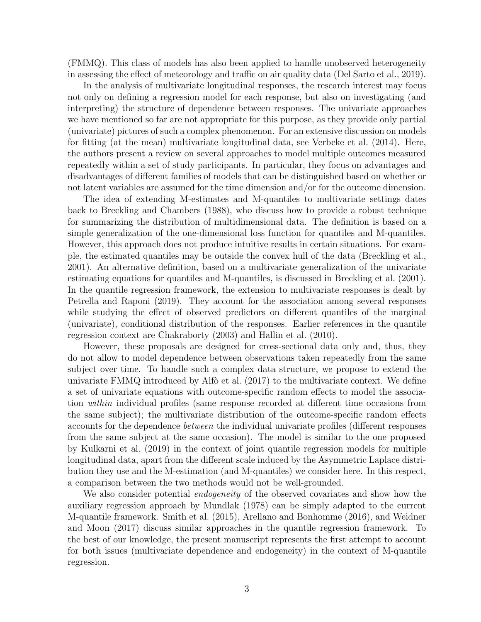(FMMQ). This class of models has also been applied to handle unobserved heterogeneity in assessing the effect of meteorology and traffic on air quality data (Del Sarto et al., 2019).

In the analysis of multivariate longitudinal responses, the research interest may focus not only on defining a regression model for each response, but also on investigating (and interpreting) the structure of dependence between responses. The univariate approaches we have mentioned so far are not appropriate for this purpose, as they provide only partial (univariate) pictures of such a complex phenomenon. For an extensive discussion on models for fitting (at the mean) multivariate longitudinal data, see Verbeke et al. (2014). Here, the authors present a review on several approaches to model multiple outcomes measured repeatedly within a set of study participants. In particular, they focus on advantages and disadvantages of different families of models that can be distinguished based on whether or not latent variables are assumed for the time dimension and/or for the outcome dimension.

The idea of extending M-estimates and M-quantiles to multivariate settings dates back to Breckling and Chambers (1988), who discuss how to provide a robust technique for summarizing the distribution of multidimensional data. The definition is based on a simple generalization of the one-dimensional loss function for quantiles and M-quantiles. However, this approach does not produce intuitive results in certain situations. For example, the estimated quantiles may be outside the convex hull of the data (Breckling et al., 2001). An alternative definition, based on a multivariate generalization of the univariate estimating equations for quantiles and M-quantiles, is discussed in Breckling et al. (2001). In the quantile regression framework, the extension to multivariate responses is dealt by Petrella and Raponi (2019). They account for the association among several responses while studying the effect of observed predictors on different quantiles of the marginal (univariate), conditional distribution of the responses. Earlier references in the quantile regression context are Chakraborty (2003) and Hallin et al. (2010).

However, these proposals are designed for cross-sectional data only and, thus, they do not allow to model dependence between observations taken repeatedly from the same subject over time. To handle such a complex data structure, we propose to extend the univariate  $FMMQ$  introduced by Alfò et al.  $(2017)$  to the multivariate context. We define a set of univariate equations with outcome-specific random effects to model the association within individual profiles (same response recorded at different time occasions from the same subject); the multivariate distribution of the outcome-specific random effects accounts for the dependence between the individual univariate profiles (different responses from the same subject at the same occasion). The model is similar to the one proposed by Kulkarni et al. (2019) in the context of joint quantile regression models for multiple longitudinal data, apart from the different scale induced by the Asymmetric Laplace distribution they use and the M-estimation (and M-quantiles) we consider here. In this respect, a comparison between the two methods would not be well-grounded.

We also consider potential *endogeneity* of the observed covariates and show how the auxiliary regression approach by Mundlak (1978) can be simply adapted to the current M-quantile framework. Smith et al. (2015), Arellano and Bonhomme (2016), and Weidner and Moon (2017) discuss similar approaches in the quantile regression framework. To the best of our knowledge, the present manuscript represents the first attempt to account for both issues (multivariate dependence and endogeneity) in the context of M-quantile regression.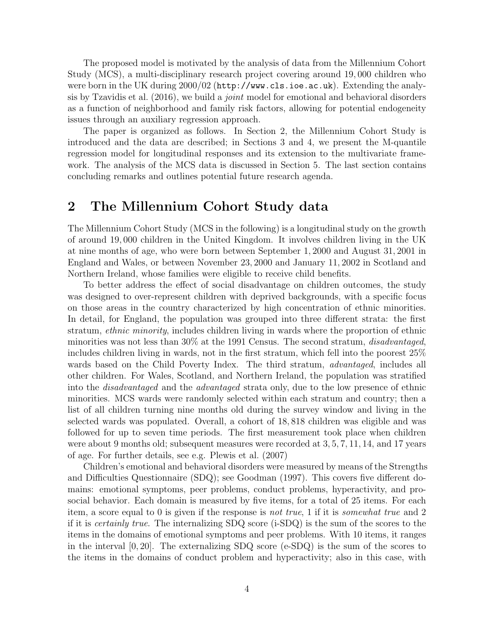The proposed model is motivated by the analysis of data from the Millennium Cohort Study (MCS), a multi-disciplinary research project covering around 19, 000 children who were born in the UK during 2000/02 (http://www.cls.ioe.ac.uk). Extending the analysis by Tzavidis et al. (2016), we build a joint model for emotional and behavioral disorders as a function of neighborhood and family risk factors, allowing for potential endogeneity issues through an auxiliary regression approach.

The paper is organized as follows. In Section 2, the Millennium Cohort Study is introduced and the data are described; in Sections 3 and 4, we present the M-quantile regression model for longitudinal responses and its extension to the multivariate framework. The analysis of the MCS data is discussed in Section 5. The last section contains concluding remarks and outlines potential future research agenda.

### 2 The Millennium Cohort Study data

The Millennium Cohort Study (MCS in the following) is a longitudinal study on the growth of around 19, 000 children in the United Kingdom. It involves children living in the UK at nine months of age, who were born between September 1, 2000 and August 31, 2001 in England and Wales, or between November 23, 2000 and January 11, 2002 in Scotland and Northern Ireland, whose families were eligible to receive child benefits.

To better address the effect of social disadvantage on children outcomes, the study was designed to over-represent children with deprived backgrounds, with a specific focus on those areas in the country characterized by high concentration of ethnic minorities. In detail, for England, the population was grouped into three different strata: the first stratum, ethnic minority, includes children living in wards where the proportion of ethnic minorities was not less than  $30\%$  at the 1991 Census. The second stratum, *disadvantaged*, includes children living in wards, not in the first stratum, which fell into the poorest 25% wards based on the Child Poverty Index. The third stratum, *advantaged*, includes all other children. For Wales, Scotland, and Northern Ireland, the population was stratified into the disadvantaged and the advantaged strata only, due to the low presence of ethnic minorities. MCS wards were randomly selected within each stratum and country; then a list of all children turning nine months old during the survey window and living in the selected wards was populated. Overall, a cohort of 18, 818 children was eligible and was followed for up to seven time periods. The first measurement took place when children were about 9 months old; subsequent measures were recorded at 3, 5, 7, 11, 14, and 17 years of age. For further details, see e.g. Plewis et al. (2007)

Children's emotional and behavioral disorders were measured by means of the Strengths and Difficulties Questionnaire (SDQ); see Goodman (1997). This covers five different domains: emotional symptoms, peer problems, conduct problems, hyperactivity, and prosocial behavior. Each domain is measured by five items, for a total of 25 items. For each item, a score equal to 0 is given if the response is not true, 1 if it is somewhat true and 2 if it is certainly true. The internalizing SDQ score (i-SDQ) is the sum of the scores to the items in the domains of emotional symptoms and peer problems. With 10 items, it ranges in the interval  $[0, 20]$ . The externalizing SDQ score (e-SDQ) is the sum of the scores to the items in the domains of conduct problem and hyperactivity; also in this case, with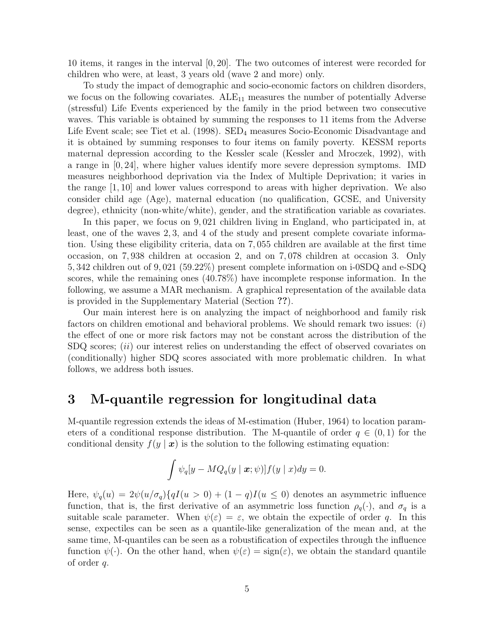10 items, it ranges in the interval [0, 20]. The two outcomes of interest were recorded for children who were, at least, 3 years old (wave 2 and more) only.

To study the impact of demographic and socio-economic factors on children disorders, we focus on the following covariates.  $ALE_{11}$  measures the number of potentially Adverse (stressful) Life Events experienced by the family in the priod between two consecutive waves. This variable is obtained by summing the responses to 11 items from the Adverse Life Event scale; see Tiet et al.  $(1998)$ . SED<sub>4</sub> measures Socio-Economic Disadvantage and it is obtained by summing responses to four items on family poverty. KESSM reports maternal depression according to the Kessler scale (Kessler and Mroczek, 1992), with a range in [0, 24], where higher values identify more severe depression symptoms. IMD measures neighborhood deprivation via the Index of Multiple Deprivation; it varies in the range [1, 10] and lower values correspond to areas with higher deprivation. We also consider child age (Age), maternal education (no qualification, GCSE, and University degree), ethnicity (non-white/white), gender, and the stratification variable as covariates.

In this paper, we focus on 9, 021 children living in England, who participated in, at least, one of the waves 2, 3, and 4 of the study and present complete covariate information. Using these eligibility criteria, data on 7, 055 children are available at the first time occasion, on 7, 938 children at occasion 2, and on 7, 078 children at occasion 3. Only 5, 342 children out of 9, 021 (59.22%) present complete information on i-0SDQ and e-SDQ scores, while the remaining ones (40.78%) have incomplete response information. In the following, we assume a MAR mechanism. A graphical representation of the available data is provided in the Supplementary Material (Section ??).

Our main interest here is on analyzing the impact of neighborhood and family risk factors on children emotional and behavioral problems. We should remark two issues:  $(i)$ the effect of one or more risk factors may not be constant across the distribution of the  $SDQ$  scores; *(ii)* our interest relies on understanding the effect of observed covariates on (conditionally) higher SDQ scores associated with more problematic children. In what follows, we address both issues.

### 3 M-quantile regression for longitudinal data

M-quantile regression extends the ideas of M-estimation (Huber, 1964) to location parameters of a conditional response distribution. The M-quantile of order  $q \in (0,1)$  for the conditional density  $f(y | x)$  is the solution to the following estimating equation:

$$
\int \psi_q[y - M Q_q(y \mid \boldsymbol{x}; \psi)] f(y \mid x) dy = 0.
$$

Here,  $\psi_q(u) = 2\psi(u/\sigma_q)\{qI(u>0)+(1-q)I(u\leq 0)\}$  denotes an asymmetric influence function, that is, the first derivative of an asymmetric loss function  $\rho_q(\cdot)$ , and  $\sigma_q$  is a suitable scale parameter. When  $\psi(\varepsilon) = \varepsilon$ , we obtain the expectile of order q. In this sense, expectiles can be seen as a quantile-like generalization of the mean and, at the same time, M-quantiles can be seen as a robustification of expectiles through the influence function  $\psi(\cdot)$ . On the other hand, when  $\psi(\varepsilon) = \text{sign}(\varepsilon)$ , we obtain the standard quantile of order q.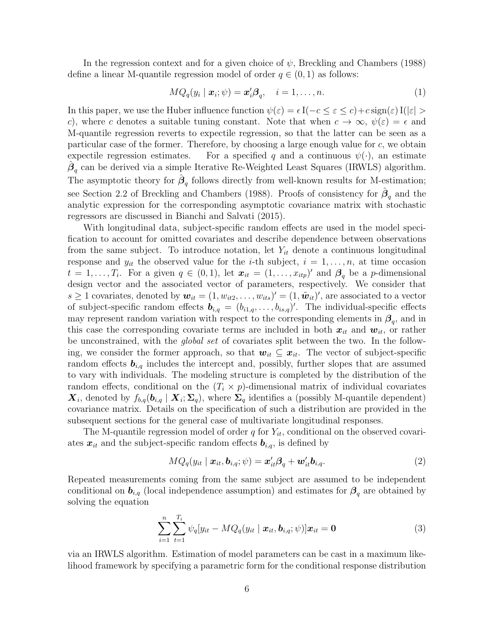In the regression context and for a given choice of  $\psi$ , Breckling and Chambers (1988) define a linear M-quantile regression model of order  $q \in (0, 1)$  as follows:

$$
MQ_q(y_i \mid \boldsymbol{x}_i; \psi) = \boldsymbol{x}_i' \boldsymbol{\beta}_q, \quad i = 1, \dots, n. \tag{1}
$$

In this paper, we use the Huber influence function  $\psi(\varepsilon) = \epsilon I(-c \leq \varepsilon \leq c) + c \operatorname{sign}(\varepsilon) I(|\varepsilon| >$ c), where c denotes a suitable tuning constant. Note that when  $c \to \infty$ ,  $\psi(\varepsilon) = \epsilon$  and M-quantile regression reverts to expectile regression, so that the latter can be seen as a particular case of the former. Therefore, by choosing a large enough value for c, we obtain expectile regression estimates. For a specified q and a continuous  $\psi(\cdot)$ , an estimate  $\hat{\boldsymbol{\beta}}_q$  can be derived via a simple Iterative Re-Weighted Least Squares (IRWLS) algorithm. The asymptotic theory for  $\hat{\beta}_q$  follows directly from well-known results for M-estimation; see Section 2.2 of Breckling and Chambers (1988). Proofs of consistency for  $\hat{\boldsymbol{\beta}}_q$  and the analytic expression for the corresponding asymptotic covariance matrix with stochastic regressors are discussed in Bianchi and Salvati (2015).

With longitudinal data, subject-specific random effects are used in the model specification to account for omitted covariates and describe dependence between observations from the same subject. To introduce notation, let  $Y_{it}$  denote a continuous longitudinal response and  $y_{it}$  the observed value for the *i*-th subject,  $i = 1, \ldots, n$ , at time occasion  $t = 1, \ldots, T_i$ . For a given  $q \in (0, 1)$ , let  $\mathbf{x}_{it} = (1, \ldots, x_{itp})'$  and  $\boldsymbol{\beta}_q$  be a p-dimensional design vector and the associated vector of parameters, respectively. We consider that  $s \geq 1$  covariates, denoted by  $\mathbf{w}_{it} = (1, w_{it2}, \dots, w_{its})' = (1, \tilde{\mathbf{w}}_{it})'$ , are associated to a vector of subject-specific random effects  $\mathbf{b}_{i,q} = (b_{i1,q}, \ldots, b_{is,q})'$ . The individual-specific effects may represent random variation with respect to the corresponding elements in  $\beta_q$ , and in this case the corresponding covariate terms are included in both  $x_{it}$  and  $w_{it}$ , or rather be unconstrained, with the *global set* of covariates split between the two. In the following, we consider the former approach, so that  $w_{it} \subseteq x_{it}$ . The vector of subject-specific random effects  $\mathbf{b}_{i,q}$  includes the intercept and, possibly, further slopes that are assumed to vary with individuals. The modeling structure is completed by the distribution of the random effects, conditional on the  $(T_i \times p)$ -dimensional matrix of individual covariates  $\bm{X}_i$ , denoted by  $f_{b,q}(\bm{b}_{i,q} | \bm{X}_i; \Sigma_q)$ , where  $\Sigma_q$  identifies a (possibly M-quantile dependent) covariance matrix. Details on the specification of such a distribution are provided in the subsequent sections for the general case of multivariate longitudinal responses.

The M-quantile regression model of order q for  $Y_{it}$ , conditional on the observed covariates  $x_{it}$  and the subject-specific random effects  $b_{i,q}$ , is defined by

$$
MQ_q(y_{it} \mid \boldsymbol{x}_{it}, \boldsymbol{b}_{i,q}; \psi) = \boldsymbol{x}_{it}' \boldsymbol{\beta}_q + \boldsymbol{w}_{it}' \boldsymbol{b}_{i,q}. \tag{2}
$$

Repeated measurements coming from the same subject are assumed to be independent conditional on  $b_{i,q}$  (local independence assumption) and estimates for  $\beta_q$  are obtained by solving the equation

$$
\sum_{i=1}^{n} \sum_{t=1}^{T_i} \psi_q[y_{it} - MQ_q(y_{it} | \mathbf{x}_{it}, \mathbf{b}_{i,q}; \psi)] \mathbf{x}_{it} = \mathbf{0}
$$
\n(3)

via an IRWLS algorithm. Estimation of model parameters can be cast in a maximum likelihood framework by specifying a parametric form for the conditional response distribution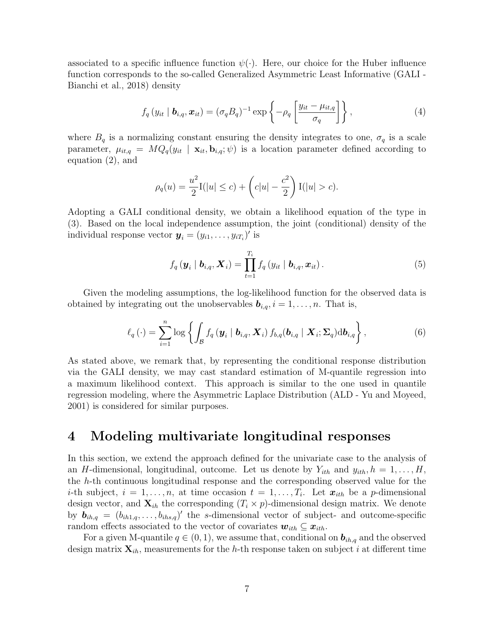associated to a specific influence function  $\psi(\cdot)$ . Here, our choice for the Huber influence function corresponds to the so-called Generalized Asymmetric Least Informative (GALI - Bianchi et al., 2018) density

$$
f_q(y_{it} | \boldsymbol{b}_{i,q}, \boldsymbol{x}_{it}) = (\sigma_q B_q)^{-1} \exp \left\{-\rho_q \left[\frac{y_{it} - \mu_{it,q}}{\sigma_q}\right]\right\},\tag{4}
$$

where  $B_q$  is a normalizing constant ensuring the density integrates to one,  $\sigma_q$  is a scale parameter,  $\mu_{it,q} = MQ_q(y_{it} \mid \mathbf{x}_{it}, \mathbf{b}_{i,q}; \psi)$  is a location parameter defined according to equation (2), and

$$
\rho_q(u) = \frac{u^2}{2} I(|u| \le c) + \left(c|u| - \frac{c^2}{2}\right) I(|u| > c).
$$

Adopting a GALI conditional density, we obtain a likelihood equation of the type in (3). Based on the local independence assumption, the joint (conditional) density of the individual response vector  $\boldsymbol{y}_i = (y_{i1}, \dots, y_{iT_i})'$  is

$$
f_q\left(\boldsymbol{y}_i \mid \boldsymbol{b}_{i,q}, \boldsymbol{X}_i\right) = \prod_{t=1}^{T_i} f_q\left(y_{it} \mid \boldsymbol{b}_{i,q}, \boldsymbol{x}_{it}\right).
$$
 (5)

Given the modeling assumptions, the log-likelihood function for the observed data is obtained by integrating out the unobservables  $\mathbf{b}_{i,q}$ ,  $i = 1, \ldots, n$ . That is,

$$
\ell_q(\cdot) = \sum_{i=1}^n \log \left\{ \int_{\mathcal{B}} f_q \left( \boldsymbol{y}_i \mid \boldsymbol{b}_{i,q}, \boldsymbol{X}_i \right) f_{b,q}(\boldsymbol{b}_{i,q} \mid \boldsymbol{X}_i; \boldsymbol{\Sigma}_q) \mathrm{d} \boldsymbol{b}_{i,q} \right\},\tag{6}
$$

As stated above, we remark that, by representing the conditional response distribution via the GALI density, we may cast standard estimation of M-quantile regression into a maximum likelihood context. This approach is similar to the one used in quantile regression modeling, where the Asymmetric Laplace Distribution (ALD - Yu and Moyeed, 2001) is considered for similar purposes.

### 4 Modeling multivariate longitudinal responses

In this section, we extend the approach defined for the univariate case to the analysis of an H-dimensional, longitudinal, outcome. Let us denote by  $Y_{ith}$  and  $y_{ith}$ ,  $h = 1, \ldots, H$ , the h-th continuous longitudinal response and the corresponding observed value for the *i*-th subject,  $i = 1, \ldots, n$ , at time occasion  $t = 1, \ldots, T_i$ . Let  $\mathbf{x}_{ith}$  be a *p*-dimensional design vector, and  $\mathbf{X}_{ih}$  the corresponding  $(T_i \times p)$ -dimensional design matrix. We denote by  $\mathbf{b}_{ih,q} = (b_{ih1,q}, \ldots, b_{ihs,q})'$  the s-dimensional vector of subject- and outcome-specific random effects associated to the vector of covariates  $w_{ith} \subseteq x_{ith}$ .

For a given M-quantile  $q \in (0, 1)$ , we assume that, conditional on  $\mathbf{b}_{ih,q}$  and the observed design matrix  $\mathbf{X}_{ih}$ , measurements for the h-th response taken on subject i at different time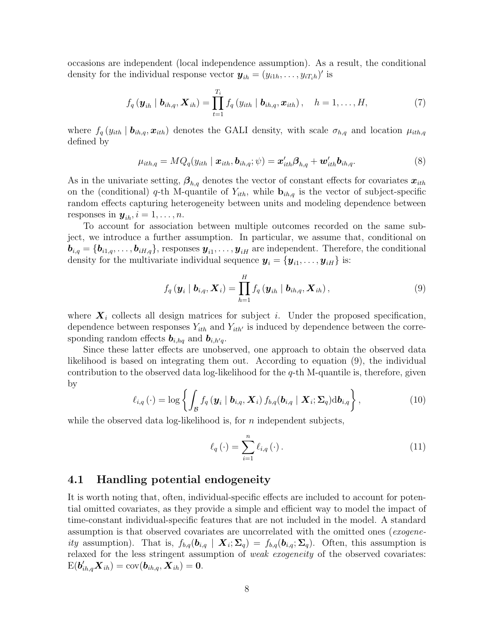occasions are independent (local independence assumption). As a result, the conditional density for the individual response vector  $\boldsymbol{y}_{ih} = (y_{i1h}, \dots, y_{iT_ih})'$  is

$$
f_q\left(\boldsymbol{y}_{ih} \mid \boldsymbol{b}_{ih,q}, \boldsymbol{X}_{ih}\right) = \prod_{t=1}^{T_i} f_q\left(y_{ith} \mid \boldsymbol{b}_{ih,q}, \boldsymbol{x}_{ith}\right), \quad h = 1, \ldots, H,
$$
\n(7)

where  $f_q(y_{ith} | b_{ih,q}, x_{ith})$  denotes the GALI density, with scale  $\sigma_{h,q}$  and location  $\mu_{ith,q}$ defined by

$$
\mu_{ith,q} = MQ_q(y_{ith} \mid \boldsymbol{x}_{ith}, \boldsymbol{b}_{ih,q}; \psi) = \boldsymbol{x}_{ith}'\boldsymbol{\beta}_{h,q} + \boldsymbol{w}_{ith}'\boldsymbol{b}_{ih,q}.
$$
\n(8)

As in the univariate setting,  $\beta_{h,q}$  denotes the vector of constant effects for covariates  $x_{ith}$ on the (conditional) q-th M-quantile of  $Y_{ith}$ , while  $\mathbf{b}_{ih,q}$  is the vector of subject-specific random effects capturing heterogeneity between units and modeling dependence between responses in  $y_{ih}$ ,  $i = 1, \ldots, n$ .

To account for association between multiple outcomes recorded on the same subject, we introduce a further assumption. In particular, we assume that, conditional on  $\bm{b}_{i,q} = \{\bm{b}_{i1,q}, \ldots, \bm{b}_{iH,q}\}$ , responses  $\bm{y}_{i1}, \ldots, \bm{y}_{iH}$  are independent. Therefore, the conditional density for the multivariate individual sequence  $\boldsymbol{y}_i = \{\boldsymbol{y}_{i1}, \dots, \boldsymbol{y}_{iH}\}$  is:

$$
f_q(\boldsymbol{y}_i | \boldsymbol{b}_{i,q}, \boldsymbol{X}_i) = \prod_{h=1}^H f_q(\boldsymbol{y}_{ih} | \boldsymbol{b}_{ih,q}, \boldsymbol{X}_{ih}),
$$
\n(9)

where  $\mathbf{X}_i$  collects all design matrices for subject i. Under the proposed specification, dependence between responses  $Y_{ith}$  and  $Y_{ith'}$  is induced by dependence between the corresponding random effects  $\mathbf{b}_{i,hq}$  and  $\mathbf{b}_{i,h'q}$ .

Since these latter effects are unobserved, one approach to obtain the observed data likelihood is based on integrating them out. According to equation (9), the individual contribution to the observed data log-likelihood for the  $q$ -th M-quantile is, therefore, given by

$$
\ell_{i,q}(\cdot) = \log \left\{ \int_{\mathcal{B}} f_q \left( \boldsymbol{y}_i \mid \boldsymbol{b}_{i,q}, \boldsymbol{X}_i \right) f_{b,q}(\boldsymbol{b}_{i,q} \mid \boldsymbol{X}_i; \boldsymbol{\Sigma}_q) \mathrm{d} \boldsymbol{b}_{i,q} \right\},\tag{10}
$$

while the observed data log-likelihood is, for n independent subjects,

$$
\ell_q(\cdot) = \sum_{i=1}^n \ell_{i,q}(\cdot).
$$
 (11)

### 4.1 Handling potential endogeneity

It is worth noting that, often, individual-specific effects are included to account for potential omitted covariates, as they provide a simple and efficient way to model the impact of time-constant individual-specific features that are not included in the model. A standard assumption is that observed covariates are uncorrelated with the omitted ones (exogeneity assumption). That is,  $f_{b,q}(\mathbf{b}_{i,q} | \mathbf{X}_i; \Sigma_q) = f_{b,q}(\mathbf{b}_{i,q}; \Sigma_q)$ . Often, this assumption is relaxed for the less stringent assumption of *weak exogeneity* of the observed covariates:  $\mathrm{E}(\bm{b}_{ih,q}'\bm{X}_{ih})=\mathrm{cov}(\bm{b}_{ih,q},\bm{X}_{ih})=\bm{0}.$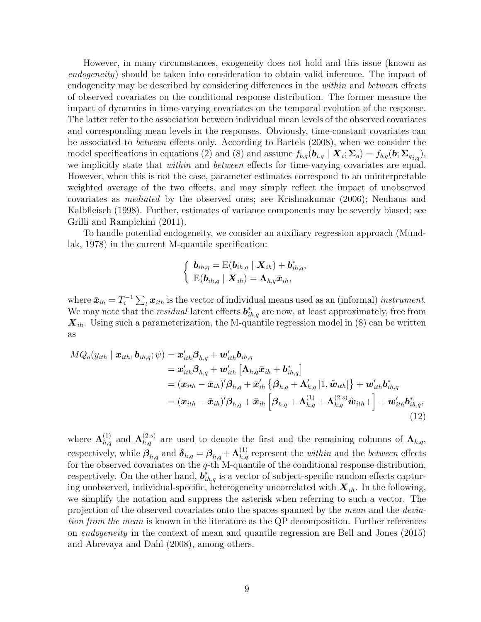However, in many circumstances, exogeneity does not hold and this issue (known as endogeneity) should be taken into consideration to obtain valid inference. The impact of endogeneity may be described by considering differences in the within and between effects of observed covariates on the conditional response distribution. The former measure the impact of dynamics in time-varying covariates on the temporal evolution of the response. The latter refer to the association between individual mean levels of the observed covariates and corresponding mean levels in the responses. Obviously, time-constant covariates can be associated to between effects only. According to Bartels (2008), when we consider the model specifications in equations (2) and (8) and assume  $f_{b,q}(\mathbf{b}_{i,q} | \mathbf{X}_i; \Sigma_q) = f_{b,q}(\mathbf{b}; \Sigma_{q_{i,q}})$ , we implicitly state that *within* and *between* effects for time-varying covariates are equal. However, when this is not the case, parameter estimates correspond to an uninterpretable weighted average of the two effects, and may simply reflect the impact of unobserved covariates as mediated by the observed ones; see Krishnakumar (2006); Neuhaus and Kalbfleisch (1998). Further, estimates of variance components may be severely biased; see Grilli and Rampichini (2011).

To handle potential endogeneity, we consider an auxiliary regression approach (Mundlak, 1978) in the current M-quantile specification:

$$
\left\{\begin{array}{l} \boldsymbol{b}_{ih,q}=\mathrm{E}(\boldsymbol{b}_{ih,q}\mid \boldsymbol{X}_{ih})+\boldsymbol{b}_{ih,q}^{*}, \\ \mathrm{E}(\boldsymbol{b}_{ih,q}\mid \boldsymbol{X}_{ih})=\boldsymbol{\Lambda}_{h,q}\bar{\boldsymbol{x}}_{ih}, \end{array}\right.
$$

where  $\bar{x}_{ih} = T_i^{-1}$  $\sum_{i=1}^{n-1} \sum_{t} x_{ith}$  is the vector of individual means used as an (informal) instrument. We may note that the *residual* latent effects  $\boldsymbol{b}_{ih,q}^*$  are now, at least approximately, free from  $\mathbf{X}_{ih}$ . Using such a parameterization, the M-quantile regression model in (8) can be written as

$$
MQ_q(y_{ith} | \boldsymbol{x}_{ith}, \boldsymbol{b}_{ih,q}; \psi) = \boldsymbol{x}_{ith}'\boldsymbol{\beta}_{h,q} + \boldsymbol{w}_{ith}'\boldsymbol{b}_{ih,q}
$$
  
\n
$$
= \boldsymbol{x}_{ith}'\boldsymbol{\beta}_{h,q} + \boldsymbol{w}_{ith}' \left[\boldsymbol{\Lambda}_{h,q}\bar{\boldsymbol{x}}_{ih} + \boldsymbol{b}_{ih,q}^*\right]
$$
  
\n
$$
= (\boldsymbol{x}_{ith} - \bar{\boldsymbol{x}}_{ih})'\boldsymbol{\beta}_{h,q} + \bar{\boldsymbol{x}}_{ih}' \left\{\boldsymbol{\beta}_{h,q} + \boldsymbol{\Lambda}_{h,q}' \left[1, \tilde{\boldsymbol{w}}_{ith}\right]\right\} + \boldsymbol{w}_{ith}'\boldsymbol{b}_{ih,q}^*
$$
  
\n
$$
= (\boldsymbol{x}_{ith} - \bar{\boldsymbol{x}}_{ih})'\boldsymbol{\beta}_{h,q} + \bar{\boldsymbol{x}}_{ih} \left[\boldsymbol{\beta}_{h,q} + \boldsymbol{\Lambda}_{h,q}^{(1)} + \boldsymbol{\Lambda}_{h,q}^{(2:s)}\tilde{\boldsymbol{w}}_{ith}\right] + \boldsymbol{w}_{ith}'\boldsymbol{b}_{ih,q}^*
$$
  
\n(12)

where  $\Lambda_{h,q}^{(1)}$  and  $\Lambda_{h,q}^{(2:s)}$  are used to denote the first and the remaining columns of  $\Lambda_{h,q}$ , respectively, while  $\beta_{h,q}$  and  $\delta_{h,q} = \beta_{h,q} + \Lambda_{h,q}^{(1)}$  represent the *within* and the *between* effects for the observed covariates on the  $q$ -th M-quantile of the conditional response distribution, respectively. On the other hand,  $\mathbf{b}_{ih,q}^*$  is a vector of subject-specific random effects capturing unobserved, individual-specific, heterogeneity uncorrelated with  $X_{ih}$ . In the following, we simplify the notation and suppress the asterisk when referring to such a vector. The projection of the observed covariates onto the spaces spanned by the mean and the deviation from the mean is known in the literature as the QP decomposition. Further references on endogeneity in the context of mean and quantile regression are Bell and Jones (2015) and Abrevaya and Dahl (2008), among others.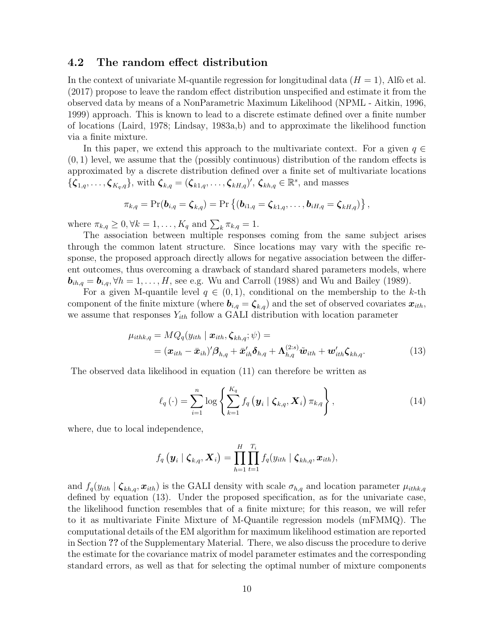#### 4.2 The random effect distribution

In the context of univariate M-quantile regression for longitudinal data  $(H = 1)$ , Alfo et al. (2017) propose to leave the random effect distribution unspecified and estimate it from the observed data by means of a NonParametric Maximum Likelihood (NPML - Aitkin, 1996, 1999) approach. This is known to lead to a discrete estimate defined over a finite number of locations (Laird, 1978; Lindsay, 1983a,b) and to approximate the likelihood function via a finite mixture.

In this paper, we extend this approach to the multivariate context. For a given  $q \in$  $(0, 1)$  level, we assume that the (possibly continuous) distribution of the random effects is approximated by a discrete distribution defined over a finite set of multivariate locations  ${\{\zeta_{1,q},\ldots,\zeta_{K_q,q}\}}$ , with  $\zeta_{k,q} = (\zeta_{k1,q},\ldots,\zeta_{kH,q})'$ ,  $\zeta_{kh,q} \in \mathbb{R}^s$ , and masses

$$
\pi_{k,q}=\Pr(\boldsymbol{b}_{i,q}=\boldsymbol{\zeta}_{k,q})=\Pr\left\{(\boldsymbol{b}_{i1,q}=\boldsymbol{\zeta}_{k1,q},\ldots,\boldsymbol{b}_{iH,q}=\boldsymbol{\zeta}_{kH,q})\right\},
$$

where  $\pi_{k,q} \geq 0, \forall k = 1, \dots, K_q$  and  $\sum_k \pi_{k,q} = 1$ .

The association between multiple responses coming from the same subject arises through the common latent structure. Since locations may vary with the specific response, the proposed approach directly allows for negative association between the different outcomes, thus overcoming a drawback of standard shared parameters models, where  $\mathbf{b}_{ih,q} = \mathbf{b}_{i,q}, \forall h = 1, \dots, H$ , see e.g. Wu and Carroll (1988) and Wu and Bailey (1989).

For a given M-quantile level  $q \in (0,1)$ , conditional on the membership to the k-th component of the finite mixture (where  $\mathbf{b}_{i,q} = \mathbf{\zeta}_{k,q}$ ) and the set of observed covariates  $\mathbf{x}_{ith}$ , we assume that responses  $Y_{ith}$  follow a GALI distribution with location parameter

$$
\mu_{ithk,q} = MQ_q(y_{ith} \mid \boldsymbol{x}_{ith}, \boldsymbol{\zeta}_{kh,q}; \psi) = = (\boldsymbol{x}_{ith} - \bar{\boldsymbol{x}}_{ih})' \boldsymbol{\beta}_{h,q} + \bar{\boldsymbol{x}}'_{ih} \boldsymbol{\delta}_{h,q} + \boldsymbol{\Lambda}_{h,q}^{(2:s)} \tilde{\boldsymbol{w}}_{ith} + \boldsymbol{w}'_{ith} \boldsymbol{\zeta}_{kh,q}.
$$
 (13)

The observed data likelihood in equation (11) can therefore be written as

$$
\ell_q(\cdot) = \sum_{i=1}^n \log \left\{ \sum_{k=1}^{K_q} f_q \left( \mathbf{y}_i \mid \boldsymbol{\zeta}_{k,q}, \mathbf{X}_i \right) \pi_{k,q} \right\},\tag{14}
$$

where, due to local independence,

$$
f_q\left(\boldsymbol{y}_i\mid \boldsymbol{\zeta}_{k,q},\boldsymbol{X}_i\right)=\prod_{h=1}^H\prod_{t=1}^{T_i}f_q(y_{ith}\mid \boldsymbol{\zeta}_{kh,q},\boldsymbol{x}_{ith}),
$$

and  $f_q(y_{ith} | \boldsymbol{\zeta}_{kh,q}, \boldsymbol{x}_{ith})$  is the GALI density with scale  $\sigma_{h,q}$  and location parameter  $\mu_{ithk,q}$ defined by equation (13). Under the proposed specification, as for the univariate case, the likelihood function resembles that of a finite mixture; for this reason, we will refer to it as multivariate Finite Mixture of M-Quantile regression models (mFMMQ). The computational details of the EM algorithm for maximum likelihood estimation are reported in Section ?? of the Supplementary Material. There, we also discuss the procedure to derive the estimate for the covariance matrix of model parameter estimates and the corresponding standard errors, as well as that for selecting the optimal number of mixture components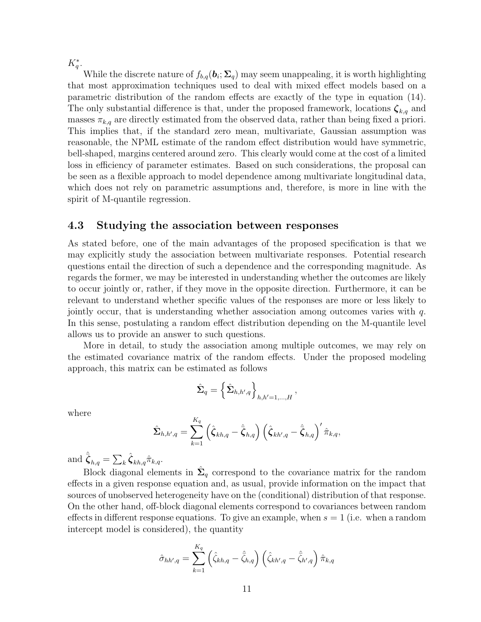$K_q^*$ .

While the discrete nature of  $f_{b,q}(\boldsymbol{b}_i; \boldsymbol{\Sigma}_q)$  may seem unappealing, it is worth highlighting that most approximation techniques used to deal with mixed effect models based on a parametric distribution of the random effects are exactly of the type in equation (14). The only substantial difference is that, under the proposed framework, locations  $\zeta_{k,q}$  and masses  $\pi_{k,q}$  are directly estimated from the observed data, rather than being fixed a priori. This implies that, if the standard zero mean, multivariate, Gaussian assumption was reasonable, the NPML estimate of the random effect distribution would have symmetric, bell-shaped, margins centered around zero. This clearly would come at the cost of a limited loss in efficiency of parameter estimates. Based on such considerations, the proposal can be seen as a flexible approach to model dependence among multivariate longitudinal data, which does not rely on parametric assumptions and, therefore, is more in line with the spirit of M-quantile regression.

#### 4.3 Studying the association between responses

As stated before, one of the main advantages of the proposed specification is that we may explicitly study the association between multivariate responses. Potential research questions entail the direction of such a dependence and the corresponding magnitude. As regards the former, we may be interested in understanding whether the outcomes are likely to occur jointly or, rather, if they move in the opposite direction. Furthermore, it can be relevant to understand whether specific values of the responses are more or less likely to jointly occur, that is understanding whether association among outcomes varies with  $q$ . In this sense, postulating a random effect distribution depending on the M-quantile level allows us to provide an answer to such questions.

More in detail, to study the association among multiple outcomes, we may rely on the estimated covariance matrix of the random effects. Under the proposed modeling approach, this matrix can be estimated as follows

$$
\hat{\boldsymbol{\Sigma}}_q = \left\{\hat{\boldsymbol{\Sigma}}_{h,h',q}\right\}_{h,h'=1,...,H},
$$

where

$$
\hat{\mathbf{\Sigma}}_{h,h',q} = \sum_{k=1}^{K_q} \left( \hat{\boldsymbol{\zeta}}_{kh,q} - \hat{\boldsymbol{\zeta}}_{h,q} \right) \left( \hat{\boldsymbol{\zeta}}_{kh',q} - \hat{\boldsymbol{\zeta}}_{h,q} \right)' \hat{\pi}_{k,q},
$$

and  $\hat{\bar{\boldsymbol{\zeta}}}_{h,q} = \sum_{k} \hat{\boldsymbol{\zeta}}_{kh,q} \hat{\pi}_{k,q}.$ 

Block diagonal elements in  $\hat{\Sigma}_q$  correspond to the covariance matrix for the random effects in a given response equation and, as usual, provide information on the impact that sources of unobserved heterogeneity have on the (conditional) distribution of that response. On the other hand, off-block diagonal elements correspond to covariances between random effects in different response equations. To give an example, when  $s = 1$  (i.e. when a random intercept model is considered), the quantity

$$
\hat{\sigma}_{hh',q} = \sum_{k=1}^{K_q} \left( \hat{\zeta}_{kh,q} - \hat{\bar{\zeta}}_{h,q} \right) \left( \hat{\zeta}_{kh',q} - \hat{\bar{\zeta}}_{h',q} \right) \hat{\pi}_{k,q}
$$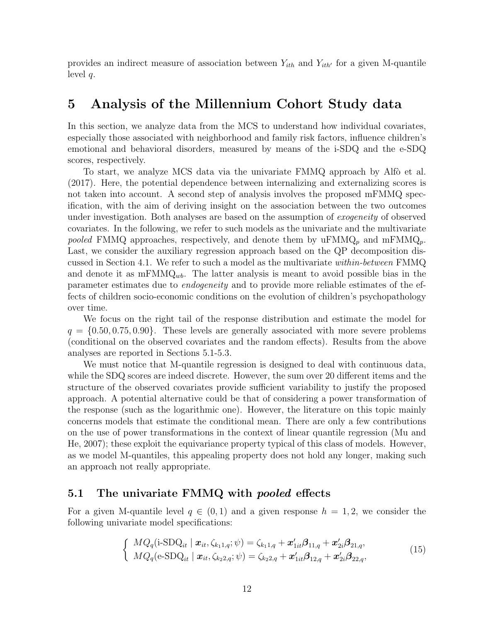provides an indirect measure of association between  $Y_{ith}$  and  $Y_{ith'}$  for a given M-quantile level  $q$ .

### 5 Analysis of the Millennium Cohort Study data

In this section, we analyze data from the MCS to understand how individual covariates, especially those associated with neighborhood and family risk factors, influence children's emotional and behavioral disorders, measured by means of the i-SDQ and the e-SDQ scores, respectively.

To start, we analyze MCS data via the univariate FMMQ approach by Alfò et al. (2017). Here, the potential dependence between internalizing and externalizing scores is not taken into account. A second step of analysis involves the proposed mFMMQ specification, with the aim of deriving insight on the association between the two outcomes under investigation. Both analyses are based on the assumption of *exogeneity* of observed covariates. In the following, we refer to such models as the univariate and the multivariate pooled FMMQ approaches, respectively, and denote them by  $uFMMQ_p$  and  $mFMMQ_p$ . Last, we consider the auxiliary regression approach based on the QP decomposition discussed in Section 4.1. We refer to such a model as the multivariate within-between FMMQ and denote it as  $mFMMQ_{wb}$ . The latter analysis is meant to avoid possible bias in the parameter estimates due to endogeneity and to provide more reliable estimates of the effects of children socio-economic conditions on the evolution of children's psychopathology over time.

We focus on the right tail of the response distribution and estimate the model for  $q = \{0.50, 0.75, 0.90\}$ . These levels are generally associated with more severe problems (conditional on the observed covariates and the random effects). Results from the above analyses are reported in Sections 5.1-5.3.

We must notice that M-quantile regression is designed to deal with continuous data, while the SDQ scores are indeed discrete. However, the sum over 20 different items and the structure of the observed covariates provide sufficient variability to justify the proposed approach. A potential alternative could be that of considering a power transformation of the response (such as the logarithmic one). However, the literature on this topic mainly concerns models that estimate the conditional mean. There are only a few contributions on the use of power transformations in the context of linear quantile regression (Mu and He, 2007); these exploit the equivariance property typical of this class of models. However, as we model M-quantiles, this appealing property does not hold any longer, making such an approach not really appropriate.

### 5.1 The univariate FMMQ with *pooled* effects

For a given M-quantile level  $q \in (0,1)$  and a given response  $h = 1,2$ , we consider the following univariate model specifications:

$$
\begin{cases}\nMQ_q(i\text{-SDQ}_{it} \mid \mathbf{x}_{it}, \zeta_{k_1, i}, \psi) = \zeta_{k_1, i} + \mathbf{x}'_{1it} \mathbf{\beta}_{11, q} + \mathbf{x}'_{2i} \mathbf{\beta}_{21, q}, \\
MQ_q(\text{e-SDQ}_{it} \mid \mathbf{x}_{it}, \zeta_{k_2, i}, \psi) = \zeta_{k_2, i} + \mathbf{x}'_{1it} \mathbf{\beta}_{12, q} + \mathbf{x}'_{2i} \mathbf{\beta}_{22, q},\n\end{cases} (15)
$$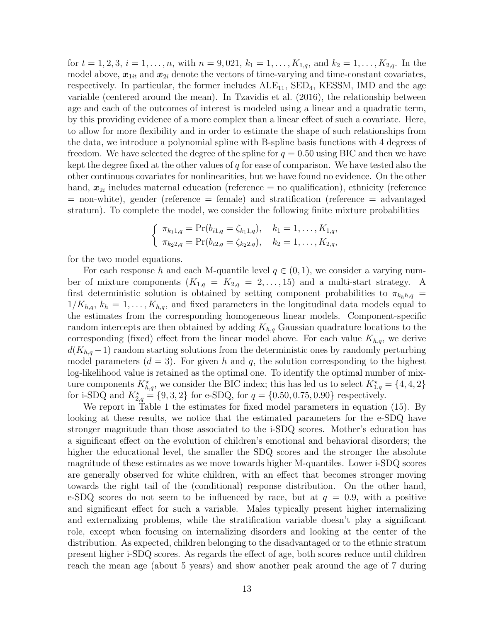for  $t = 1, 2, 3, i = 1, \ldots, n$ , with  $n = 9, 021, k_1 = 1, \ldots, K_{1,q}$ , and  $k_2 = 1, \ldots, K_{2,q}$ . In the model above,  $x_{1it}$  and  $x_{2i}$  denote the vectors of time-varying and time-constant covariates, respectively. In particular, the former includes  $ALE_{11}$ ,  $SED<sub>4</sub>$ , KESSM, IMD and the age variable (centered around the mean). In Tzavidis et al. (2016), the relationship between age and each of the outcomes of interest is modeled using a linear and a quadratic term, by this providing evidence of a more complex than a linear effect of such a covariate. Here, to allow for more flexibility and in order to estimate the shape of such relationships from the data, we introduce a polynomial spline with B-spline basis functions with 4 degrees of freedom. We have selected the degree of the spline for  $q = 0.50$  using BIC and then we have kept the degree fixed at the other values of  $q$  for ease of comparison. We have tested also the other continuous covariates for nonlinearities, but we have found no evidence. On the other hand,  $x_{2i}$  includes maternal education (reference = no qualification), ethnicity (reference = non-white), gender (reference = female) and stratification (reference = advantaged stratum). To complete the model, we consider the following finite mixture probabilities

$$
\begin{cases} \pi_{k_1 1, q} = \Pr(b_{i1, q} = \zeta_{k_1 1, q}), & k_1 = 1, \dots, K_{1, q}, \\ \pi_{k_2 2, q} = \Pr(b_{i2, q} = \zeta_{k_2 2, q}), & k_2 = 1, \dots, K_{2, q}, \end{cases}
$$

for the two model equations.

For each response h and each M-quantile level  $q \in (0,1)$ , we consider a varying number of mixture components  $(K_{1,q} = K_{2,q} = 2, \ldots, 15)$  and a multi-start strategy. A first deterministic solution is obtained by setting component probabilities to  $\pi_{k_hh,q}$  $1/K_{h,q}, k_h = 1, \ldots, K_{h,q}$ , and fixed parameters in the longitudinal data models equal to the estimates from the corresponding homogeneous linear models. Component-specific random intercepts are then obtained by adding  $K_{h,q}$  Gaussian quadrature locations to the corresponding (fixed) effect from the linear model above. For each value  $K_{h,q}$ , we derive  $d(K_{h,q}-1)$  random starting solutions from the deterministic ones by randomly perturbing model parameters  $(d = 3)$ . For given h and q, the solution corresponding to the highest log-likelihood value is retained as the optimal one. To identify the optimal number of mixture components  $K_{h,q}^{\star}$ , we consider the BIC index; this has led us to select  $K_{1,q}^{\star} = \{4,4,2\}$ for i-SDQ and  $K_{2,q}^* = \{9, 3, 2\}$  for e-SDQ, for  $q = \{0.50, 0.75, 0.90\}$  respectively.

We report in Table 1 the estimates for fixed model parameters in equation (15). By looking at these results, we notice that the estimated parameters for the e-SDQ have stronger magnitude than those associated to the i-SDQ scores. Mother's education has a significant effect on the evolution of children's emotional and behavioral disorders; the higher the educational level, the smaller the SDQ scores and the stronger the absolute magnitude of these estimates as we move towards higher M-quantiles. Lower i-SDQ scores are generally observed for white children, with an effect that becomes stronger moving towards the right tail of the (conditional) response distribution. On the other hand, e-SDQ scores do not seem to be influenced by race, but at  $q = 0.9$ , with a positive and significant effect for such a variable. Males typically present higher internalizing and externalizing problems, while the stratification variable doesn't play a significant role, except when focusing on internalizing disorders and looking at the center of the distribution. As expected, children belonging to the disadvantaged or to the ethnic stratum present higher i-SDQ scores. As regards the effect of age, both scores reduce until children reach the mean age (about 5 years) and show another peak around the age of 7 during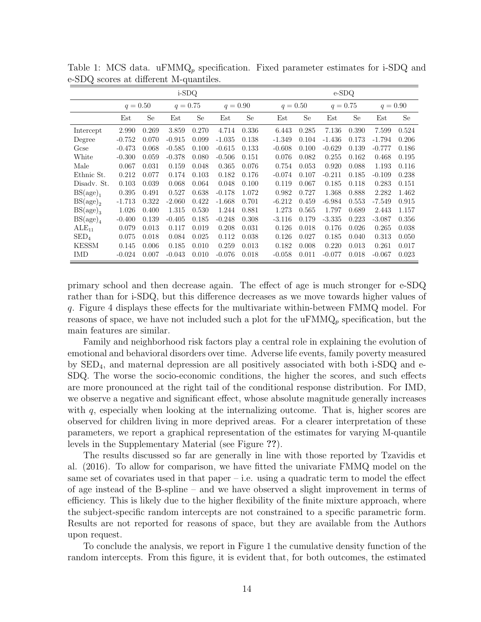|                  | i-SDQ      |       |            |           |            |       |          | $e$ -SDQ   |          |            |          |            |  |  |
|------------------|------------|-------|------------|-----------|------------|-------|----------|------------|----------|------------|----------|------------|--|--|
|                  | $q = 0.50$ |       | $q = 0.75$ |           | $q = 0.90$ |       |          | $q = 0.50$ |          | $q = 0.75$ |          | $q = 0.90$ |  |  |
|                  | Est        | Se    | Est        | <b>Se</b> | Est        | Se    | Est      | Se         | Est      | Se         | Est      | Se         |  |  |
| Intercept        | 2.990      | 0.269 | 3.859      | 0.270     | 4.714      | 0.336 | 6.443    | 0.285      | 7.136    | 0.390      | 7.599    | 0.524      |  |  |
| Degree           | $-0.752$   | 0.070 | $-0.915$   | 0.099     | $-1.035$   | 0.138 | $-1.349$ | 0.104      | $-1.436$ | 0.173      | $-1.794$ | 0.206      |  |  |
| Gcse             | $-0.473$   | 0.068 | $-0.585$   | 0.100     | $-0.615$   | 0.133 | $-0.608$ | 0.100      | $-0.629$ | 0.139      | $-0.777$ | 0.186      |  |  |
| White            | $-0.300$   | 0.059 | $-0.378$   | 0.080     | $-0.506$   | 0.151 | 0.076    | 0.082      | 0.255    | 0.162      | 0.468    | 0.195      |  |  |
| Male             | 0.067      | 0.031 | 0.159      | 0.048     | 0.365      | 0.076 | 0.754    | 0.053      | 0.920    | 0.088      | 1.193    | 0.116      |  |  |
| Ethnic St.       | 0.212      | 0.077 | 0.174      | 0.103     | 0.182      | 0.176 | $-0.074$ | 0.107      | $-0.211$ | 0.185      | $-0.109$ | 0.238      |  |  |
| Disady. St.      | 0.103      | 0.039 | 0.068      | 0.064     | 0.048      | 0.100 | 0.119    | 0.067      | 0.185    | 0.118      | 0.283    | 0.151      |  |  |
| $BS(age)_{1}$    | 0.395      | 0.491 | 0.527      | 0.638     | $-0.178$   | 1.072 | 0.982    | 0.727      | 1.368    | 0.888      | 2.282    | 1.462      |  |  |
| $BS(age)_2$      | $-1.713$   | 0.322 | $-2.060$   | 0.422     | $-1.668$   | 0.701 | $-6.212$ | 0.459      | $-6.984$ | 0.553      | $-7.549$ | 0.915      |  |  |
| $BS(age)_3$      | 1.026      | 0.400 | 1.315      | 0.530     | 1.244      | 0.881 | 1.273    | 0.565      | 1.797    | 0.689      | 2.443    | 1.157      |  |  |
| $BS(age)_4$      | $-0.400$   | 0.139 | $-0.405$   | 0.185     | $-0.248$   | 0.308 | $-3.116$ | 0.179      | $-3.335$ | 0.223      | $-3.087$ | 0.356      |  |  |
| $ALE_{11}$       | 0.079      | 0.013 | 0.117      | 0.019     | 0.208      | 0.031 | 0.126    | 0.018      | 0.176    | 0.026      | 0.265    | 0.038      |  |  |
| $\mathrm{SED}_4$ | 0.075      | 0.018 | 0.084      | 0.025     | 0.112      | 0.038 | 0.126    | 0.027      | 0.185    | 0.040      | 0.313    | 0.050      |  |  |
| <b>KESSM</b>     | 0.145      | 0.006 | 0.185      | 0.010     | 0.259      | 0.013 | 0.182    | 0.008      | 0.220    | 0.013      | 0.261    | 0.017      |  |  |
| <b>IMD</b>       | $-0.024$   | 0.007 | $-0.043$   | 0.010     | $-0.076$   | 0.018 | $-0.058$ | 0.011      | $-0.077$ | 0.018      | $-0.067$ | 0.023      |  |  |

Table 1: MCS data. uFMM $Q_p$  specification. Fixed parameter estimates for i-SDQ and e-SDQ scores at different M-quantiles.

primary school and then decrease again. The effect of age is much stronger for e-SDQ rather than for i-SDQ, but this difference decreases as we move towards higher values of q. Figure 4 displays these effects for the multivariate within-between FMMQ model. For reasons of space, we have not included such a plot for the uFMM $Q_p$  specification, but the main features are similar.

Family and neighborhood risk factors play a central role in explaining the evolution of emotional and behavioral disorders over time. Adverse life events, family poverty measured by SED4, and maternal depression are all positively associated with both i-SDQ and e-SDQ. The worse the socio-economic conditions, the higher the scores, and such effects are more pronounced at the right tail of the conditional response distribution. For IMD, we observe a negative and significant effect, whose absolute magnitude generally increases with  $q$ , especially when looking at the internalizing outcome. That is, higher scores are observed for children living in more deprived areas. For a clearer interpretation of these parameters, we report a graphical representation of the estimates for varying M-quantile levels in the Supplementary Material (see Figure ??).

The results discussed so far are generally in line with those reported by Tzavidis et al. (2016). To allow for comparison, we have fitted the univariate FMMQ model on the same set of covariates used in that paper  $-$  i.e. using a quadratic term to model the effect of age instead of the B-spline – and we have observed a slight improvement in terms of efficiency. This is likely due to the higher flexibility of the finite mixture approach, where the subject-specific random intercepts are not constrained to a specific parametric form. Results are not reported for reasons of space, but they are available from the Authors upon request.

To conclude the analysis, we report in Figure 1 the cumulative density function of the random intercepts. From this figure, it is evident that, for both outcomes, the estimated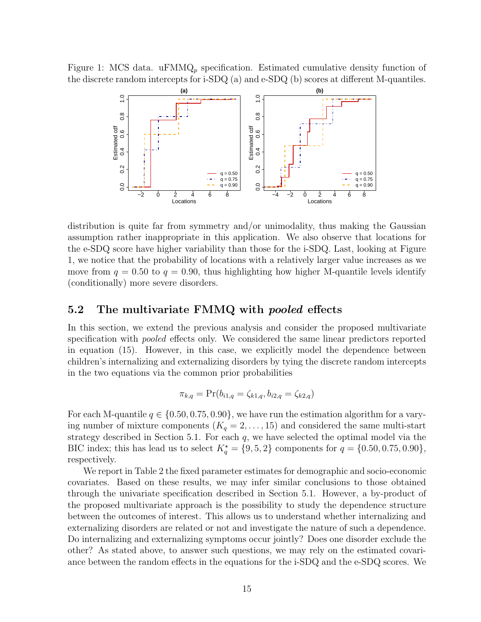Figure 1: MCS data. uFMMQ<sub>p</sub> specification. Estimated cumulative density function of the discrete random intercepts for i-SDQ (a) and e-SDQ (b) scores at different M-quantiles.



distribution is quite far from symmetry and/or unimodality, thus making the Gaussian assumption rather inappropriate in this application. We also observe that locations for the e-SDQ score have higher variability than those for the i-SDQ. Last, looking at Figure 1, we notice that the probability of locations with a relatively larger value increases as we move from  $q = 0.50$  to  $q = 0.90$ , thus highlighting how higher M-quantile levels identify (conditionally) more severe disorders.

### 5.2 The multivariate FMMQ with *pooled* effects

In this section, we extend the previous analysis and consider the proposed multivariate specification with pooled effects only. We considered the same linear predictors reported in equation (15). However, in this case, we explicitly model the dependence between children's internalizing and externalizing disorders by tying the discrete random intercepts in the two equations via the common prior probabilities

$$
\pi_{k,q} = \Pr(b_{i1,q} = \zeta_{k1,q}, b_{i2,q} = \zeta_{k2,q})
$$

For each M-quantile  $q \in \{0.50, 0.75, 0.90\}$ , we have run the estimation algorithm for a varying number of mixture components  $(K_q = 2, \ldots, 15)$  and considered the same multi-start strategy described in Section 5.1. For each  $q$ , we have selected the optimal model via the BIC index; this has lead us to select  $K_q^* = \{9, 5, 2\}$  components for  $q = \{0.50, 0.75, 0.90\},\$ respectively.

We report in Table 2 the fixed parameter estimates for demographic and socio-economic covariates. Based on these results, we may infer similar conclusions to those obtained through the univariate specification described in Section 5.1. However, a by-product of the proposed multivariate approach is the possibility to study the dependence structure between the outcomes of interest. This allows us to understand whether internalizing and externalizing disorders are related or not and investigate the nature of such a dependence. Do internalizing and externalizing symptoms occur jointly? Does one disorder exclude the other? As stated above, to answer such questions, we may rely on the estimated covariance between the random effects in the equations for the i-SDQ and the e-SDQ scores. We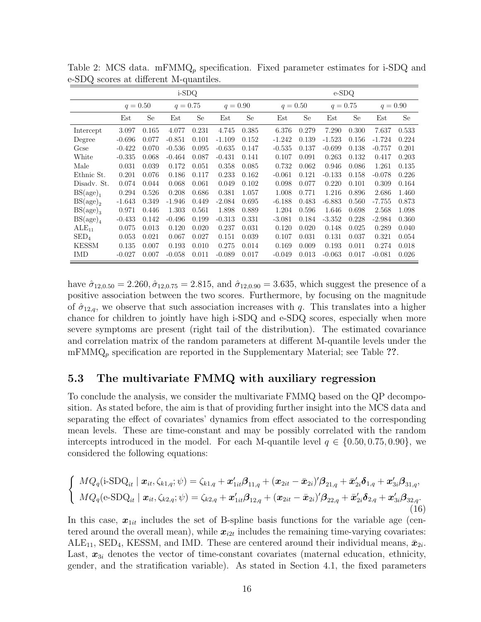|                      | i-SDQ      |       |            |       |            |       |  | $e$ -SDQ   |       |            |       |            |       |  |
|----------------------|------------|-------|------------|-------|------------|-------|--|------------|-------|------------|-------|------------|-------|--|
|                      | $q = 0.50$ |       | $q = 0.75$ |       | $q = 0.90$ |       |  | $q = 0.50$ |       | $q = 0.75$ |       | $q = 0.90$ |       |  |
|                      | Est        | Se    | Est        | Se    | Est        | Se    |  | Est        | Se    | Est        | Se    | Est        | Se    |  |
| Intercept            | 3.097      | 0.165 | 4.077      | 0.231 | 4.745      | 0.385 |  | 6.376      | 0.279 | 7.290      | 0.300 | 7.637      | 0.533 |  |
| Degree               | $-0.696$   | 0.077 | $-0.851$   | 0.101 | $-1.109$   | 0.152 |  | $-1.242$   | 0.139 | $-1.523$   | 0.156 | $-1.724$   | 0.224 |  |
| Gcse                 | $-0.422$   | 0.070 | $-0.536$   | 0.095 | $-0.635$   | 0.147 |  | $-0.535$   | 0.137 | $-0.699$   | 0.138 | $-0.757$   | 0.201 |  |
| White                | $-0.335$   | 0.068 | $-0.464$   | 0.087 | $-0.431$   | 0.141 |  | 0.107      | 0.091 | 0.263      | 0.132 | 0.417      | 0.203 |  |
| Male                 | 0.031      | 0.039 | 0.172      | 0.051 | 0.358      | 0.085 |  | 0.732      | 0.062 | 0.946      | 0.086 | 1.261      | 0.135 |  |
| Ethnic St.           | 0.201      | 0.076 | 0.186      | 0.117 | 0.233      | 0.162 |  | $-0.061$   | 0.121 | $-0.133$   | 0.158 | $-0.078$   | 0.226 |  |
| Disady. St.          | 0.074      | 0.044 | 0.068      | 0.061 | 0.049      | 0.102 |  | 0.098      | 0.077 | 0.220      | 0.101 | 0.309      | 0.164 |  |
| BS(age) <sub>1</sub> | 0.294      | 0.526 | 0.208      | 0.686 | 0.381      | 1.057 |  | 1.008      | 0.771 | 1.216      | 0.896 | 2.686      | 1.460 |  |
| $BS(age)_2$          | $-1.643$   | 0.349 | $-1.946$   | 0.449 | $-2.084$   | 0.695 |  | $-6.188$   | 0.483 | $-6.883$   | 0.560 | $-7.755$   | 0.873 |  |
| $BS(age)_3$          | 0.971      | 0.446 | 1.303      | 0.561 | 1.898      | 0.889 |  | 1.204      | 0.596 | 1.646      | 0.698 | 2.568      | 1.098 |  |
| $BS(age)_4$          | $-0.433$   | 0.142 | $-0.496$   | 0.199 | $-0.313$   | 0.331 |  | $-3.081$   | 0.184 | $-3.352$   | 0.228 | $-2.984$   | 0.360 |  |
| $ALE_{11}$           | 0.075      | 0.013 | 0.120      | 0.020 | 0.237      | 0.031 |  | 0.120      | 0.020 | 0.148      | 0.025 | 0.289      | 0.040 |  |
| $\mathrm{SED}_4$     | 0.053      | 0.021 | 0.067      | 0.027 | 0.151      | 0.039 |  | 0.107      | 0.031 | 0.131      | 0.037 | 0.321      | 0.054 |  |
| <b>KESSM</b>         | 0.135      | 0.007 | 0.193      | 0.010 | 0.275      | 0.014 |  | 0.169      | 0.009 | 0.193      | 0.011 | 0.274      | 0.018 |  |
| <b>IMD</b>           | $-0.027$   | 0.007 | $-0.058$   | 0.011 | $-0.089$   | 0.017 |  | $-0.049$   | 0.013 | $-0.063$   | 0.017 | $-0.081$   | 0.026 |  |

Table 2: MCS data. mFMM $Q_p$  specification. Fixed parameter estimates for i-SDQ and e-SDQ scores at different M-quantiles.

have  $\hat{\sigma}_{12,0.50} = 2.260, \hat{\sigma}_{12,0.75} = 2.815$ , and  $\hat{\sigma}_{12,0.90} = 3.635$ , which suggest the presence of a positive association between the two scores. Furthermore, by focusing on the magnitude of  $\hat{\sigma}_{12,q}$ , we observe that such association increases with q. This translates into a higher chance for children to jointly have high i-SDQ and e-SDQ scores, especially when more severe symptoms are present (right tail of the distribution). The estimated covariance and correlation matrix of the random parameters at different M-quantile levels under the  $\text{mFMMQ}_p$  specification are reported in the Supplementary Material; see Table ??.

### 5.3 The multivariate FMMQ with auxiliary regression

To conclude the analysis, we consider the multivariate FMMQ based on the QP decomposition. As stated before, the aim is that of providing further insight into the MCS data and separating the effect of covariates' dynamics from effect associated to the corresponding mean levels. These are time-constant and may be possibly correlated with the random intercepts introduced in the model. For each M-quantile level  $q \in \{0.50, 0.75, 0.90\}$ , we considered the following equations:

$$
\begin{cases}\nMQ_q(i\text{-SDQ}_{it} \mid \boldsymbol{x}_{it}, \zeta_{k1,q}; \psi) = \zeta_{k1,q} + \boldsymbol{x}_{1it}'\boldsymbol{\beta}_{11,q} + (\boldsymbol{x}_{2it} - \bar{\boldsymbol{x}}_{2i})'\boldsymbol{\beta}_{21,q} + \bar{\boldsymbol{x}}'_{2i}\boldsymbol{\delta}_{1,q} + \boldsymbol{x}'_{3i}\boldsymbol{\beta}_{31,q}, \\
MQ_q(\text{e-SDQ}_{it} \mid \boldsymbol{x}_{it}, \zeta_{k2,q}; \psi) = \zeta_{k2,q} + \boldsymbol{x}'_{1it}\boldsymbol{\beta}_{12,q} + (\boldsymbol{x}_{2it} - \bar{\boldsymbol{x}}_{2i})'\boldsymbol{\beta}_{22,q} + \bar{\boldsymbol{x}}'_{2i}\boldsymbol{\delta}_{2,q} + \boldsymbol{x}'_{3i}\boldsymbol{\beta}_{32,q}.\n\end{cases}
$$
\n(16)

In this case,  $x_{1it}$  includes the set of B-spline basis functions for the variable age (centered around the overall mean), while  $x_{i2t}$  includes the remaining time-varying covariates: ALE<sub>11</sub>, SED<sub>4</sub>, KESSM, and IMD. These are centered around their individual means,  $\bar{x}_{2i}$ . Last,  $x_{3i}$  denotes the vector of time-constant covariates (maternal education, ethnicity, gender, and the stratification variable). As stated in Section 4.1, the fixed parameters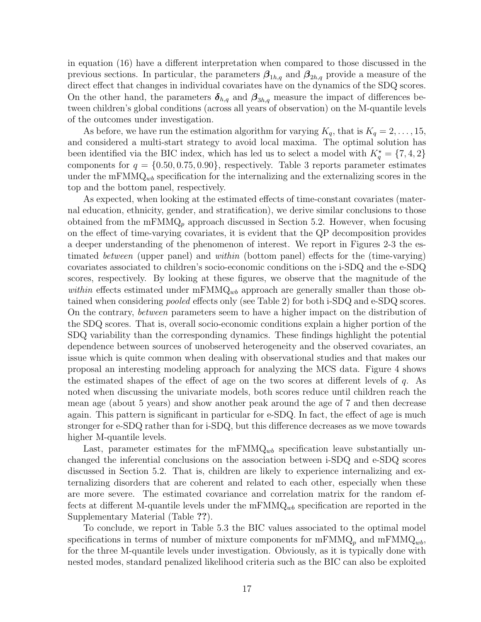in equation (16) have a different interpretation when compared to those discussed in the previous sections. In particular, the parameters  $\beta_{1h,q}$  and  $\beta_{2h,q}$  provide a measure of the direct effect that changes in individual covariates have on the dynamics of the SDQ scores. On the other hand, the parameters  $\delta_{h,q}$  and  $\beta_{3h,q}$  measure the impact of differences between children's global conditions (across all years of observation) on the M-quantile levels of the outcomes under investigation.

As before, we have run the estimation algorithm for varying  $K_q$ , that is  $K_q = 2, \ldots, 15$ , and considered a multi-start strategy to avoid local maxima. The optimal solution has been identified via the BIC index, which has led us to select a model with  $K_q^* = \{7, 4, 2\}$ components for  $q = \{0.50, 0.75, 0.90\}$ , respectively. Table 3 reports parameter estimates under the mFMM $Q_{wb}$  specification for the internalizing and the externalizing scores in the top and the bottom panel, respectively.

As expected, when looking at the estimated effects of time-constant covariates (maternal education, ethnicity, gender, and stratification), we derive similar conclusions to those obtained from the mFMM $Q_p$  approach discussed in Section 5.2. However, when focusing on the effect of time-varying covariates, it is evident that the QP decomposition provides a deeper understanding of the phenomenon of interest. We report in Figures 2-3 the estimated between (upper panel) and within (bottom panel) effects for the (time-varying) covariates associated to children's socio-economic conditions on the i-SDQ and the e-SDQ scores, respectively. By looking at these figures, we observe that the magnitude of the within effects estimated under  $mFMMQ_{wb}$  approach are generally smaller than those obtained when considering pooled effects only (see Table 2) for both i-SDQ and e-SDQ scores. On the contrary, between parameters seem to have a higher impact on the distribution of the SDQ scores. That is, overall socio-economic conditions explain a higher portion of the SDQ variability than the corresponding dynamics. These findings highlight the potential dependence between sources of unobserved heterogeneity and the observed covariates, an issue which is quite common when dealing with observational studies and that makes our proposal an interesting modeling approach for analyzing the MCS data. Figure 4 shows the estimated shapes of the effect of age on the two scores at different levels of  $q$ . As noted when discussing the univariate models, both scores reduce until children reach the mean age (about 5 years) and show another peak around the age of 7 and then decrease again. This pattern is significant in particular for e-SDQ. In fact, the effect of age is much stronger for e-SDQ rather than for i-SDQ, but this difference decreases as we move towards higher M-quantile levels.

Last, parameter estimates for the  $mFMMQ_{wb}$  specification leave substantially unchanged the inferential conclusions on the association between i-SDQ and e-SDQ scores discussed in Section 5.2. That is, children are likely to experience internalizing and externalizing disorders that are coherent and related to each other, especially when these are more severe. The estimated covariance and correlation matrix for the random effects at different M-quantile levels under the  $mFMMQ_{wb}$  specification are reported in the Supplementary Material (Table ??).

To conclude, we report in Table 5.3 the BIC values associated to the optimal model specifications in terms of number of mixture components for  $mFMMQ_p$  and  $mFMMQ_{wb}$ , for the three M-quantile levels under investigation. Obviously, as it is typically done with nested modes, standard penalized likelihood criteria such as the BIC can also be exploited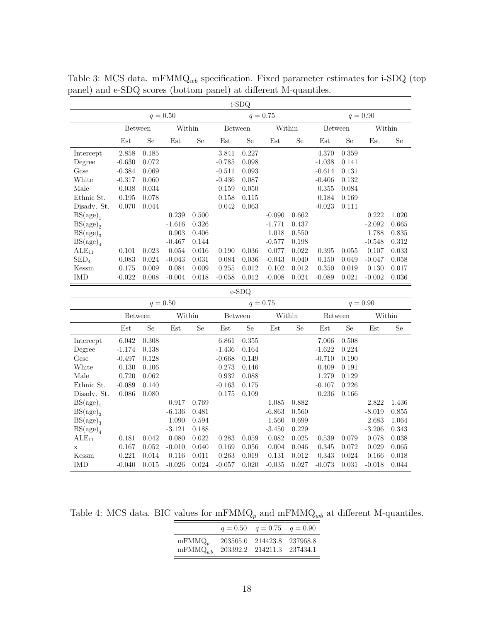|                  |                |            |          |           |                | i-SDQ      |            |             |                |       |          |           |
|------------------|----------------|------------|----------|-----------|----------------|------------|------------|-------------|----------------|-------|----------|-----------|
|                  | $q = 0.50$     |            |          |           |                | $q = 0.75$ |            | $q = 0.90$  |                |       |          |           |
|                  | <b>Between</b> |            | Within   |           | <b>Between</b> |            | Within     |             | <b>Between</b> |       | Within   |           |
|                  | Est            | <b>Se</b>  | Est      | <b>Se</b> | Est            | Se         | Est        | Se          | Est            | Se    | Est      | <b>Se</b> |
| Intercept        | 2.858          | 0.185      |          |           | 3.841          | 0.227      |            |             | 4.370          | 0.359 |          |           |
| Degree           | $-0.630$       | 0.072      |          |           | $-0.785$       | 0.098      |            |             | $-1.038$       | 0.141 |          |           |
| Gcse             | $-0.384$       | 0.069      |          |           | $-0.511$       | 0.093      |            |             | $-0.614$       | 0.131 |          |           |
| White            | $-0.317$       | 0.060      |          |           | $-0.436$       | 0.087      |            |             | $-0.406$       | 0.132 |          |           |
| Male             | 0.038          | 0.034      |          |           | 0.159          | 0.050      |            |             | 0.355          | 0.084 |          |           |
| Ethnic St.       | 0.195          | 0.078      |          |           | 0.158          | 0.115      |            |             | 0.184          | 0.169 |          |           |
| Disady. St.      | 0.070          | 0.044      |          |           | 0.042          | 0.063      |            |             | $-0.023$       | 0.111 |          |           |
| $BS(age)_{1}$    |                |            | 0.239    | 0.500     |                |            | $-0.090$   | 0.662       |                |       | 0.222    | 1.020     |
| $BS(age)_{2}$    |                |            | $-1.616$ | 0.326     |                |            | $-1.771$   | 0.437       |                |       | $-2.092$ | 0.665     |
| $BS(age)_3$      |                |            | 0.903    | 0.406     |                |            | 1.018      | 0.550       |                |       | 1.788    | 0.835     |
| $BS(age)_4$      |                |            | $-0.467$ | 0.144     |                |            | $-0.577$   | 0.198       |                |       | $-0.548$ | 0.312     |
| $ALE_{11}$       | 0.101          | 0.023      | 0.054    | 0.016     | 0.190          | 0.036      | 0.077      | 0.022       | 0.395          | 0.055 | 0.107    | 0.033     |
| $\mathrm{SED}_4$ | 0.083          | 0.024      | $-0.043$ | 0.031     | 0.084          | 0.036      | $-0.043$   | 0.040       | 0.150          | 0.049 | $-0.047$ | 0.058     |
| Kessm            | 0.175          | 0.009      | 0.084    | 0.009     | 0.255          | 0.012      | 0.102      | 0.012       | 0.350          | 0.019 | 0.130    | 0.017     |
| <b>IMD</b>       | $-0.022$       | 0.008      | $-0.004$ | 0.018     | $-0.058$       | 0.012      | $-0.008$   | $\,0.024\,$ | $-0.089$       | 0.021 | $-0.002$ | $0.036\,$ |
|                  |                |            |          |           |                | e-SDQ      |            |             |                |       |          |           |
|                  |                | $q = 0.50$ |          |           |                |            | $q = 0.75$ |             | $q = 0.90$     |       |          |           |
|                  | Between        |            | Within   |           | Between        |            | Within     |             | Between        |       | Within   |           |
|                  | Est            | <b>Se</b>  | Est      | <b>Se</b> | Est            | <b>Se</b>  | Est        | <b>Se</b>   | Est            | Se    | Est      | <b>Se</b> |
| Intercept        | 6.042          | 0.308      |          |           | 6.861          | 0.355      |            |             | 7.006          | 0.508 |          |           |
| Degree           | $-1.174$       | 0.138      |          |           | $-1.436$       | 0.164      |            |             | $-1.622$       | 0.224 |          |           |
| Gcse             | $-0.497$       | 0.128      |          |           | $-0.668$       | 0.149      |            |             | $-0.710$       | 0.190 |          |           |
| White            | 0.130          | 0.106      |          |           | 0.273          | 0.146      |            |             | 0.409          | 0.191 |          |           |
| Male             | 0.720          | 0.062      |          |           | 0.932          | 0.088      |            |             | 1.279          | 0.129 |          |           |
| Ethnic St.       | $-0.089$       | 0.140      |          |           | $-0.163$       | 0.175      |            |             | $-0.107$       | 0.226 |          |           |
| Disadv. St.      | 0.086          | 0.080      |          |           | 0.175          | 0.109      |            |             | 0.236          | 0.166 |          |           |
| $BS(age)_{1}$    |                |            | 0.917    | 0.769     |                |            | 1.085      | 0.882       |                |       | 2.822    | 1.436     |
| $BS(age)_{2}$    |                |            | $-6.136$ | 0.481     |                |            | $-6.863$   | 0.560       |                |       | $-8.019$ | 0.855     |
| $BS(age)_3$      |                |            | 1.090    | 0.594     |                |            | 1.560      | 0.699       |                |       | 2.683    | 1.064     |
| $BS(age)_4$      |                |            | $-3.121$ | 0.188     |                |            | $-3.450$   | 0.229       |                |       | $-3.206$ | 0.343     |
| $ALE_{11}$       | 0.181          | 0.042      | 0.080    | 0.022     | 0.283          | 0.059      | 0.082      | 0.025       | 0.539          | 0.079 | 0.078    | 0.038     |
| $\mathbf x$      | 0.167          | 0.052      | $-0.010$ | 0.040     | 0.169          | 0.056      | 0.004      | 0.046       | 0.345          | 0.072 | 0.029    | 0.065     |
| Kessm            | 0.221          | 0.014      | 0.116    | 0.011     | 0.263          | 0.019      | 0.131      | 0.012       | 0.343          | 0.024 | 0.166    | 0.018     |
| <b>IMD</b>       | $-0.040$       | 0.015      | $-0.026$ | 0.024     | $-0.057$       | 0.020      | $-0.035$   | 0.027       | $-0.073$       | 0.031 | $-0.018$ | 0.044     |

Table 3: MCS data. mFMMQ<sub>wb</sub> specification. Fixed parameter estimates for i-SDQ (top panel) and e-SDQ scores (bottom panel) at different M-quantiles.

Table 4: MCS data. BIC values for  $\mathrm{mFMMQ}_p$  and  $\mathrm{mFMMQ}_{wb}$  at different M-quantiles.

|              | $q = 0.50$ $q = 0.75$ $q = 0.90$ |  |
|--------------|----------------------------------|--|
| $mFMMQ_n$    | 203505.0 214423.8 237968.8       |  |
| $mFMMQ_{wb}$ | 203392.2 214211.3 237434.1       |  |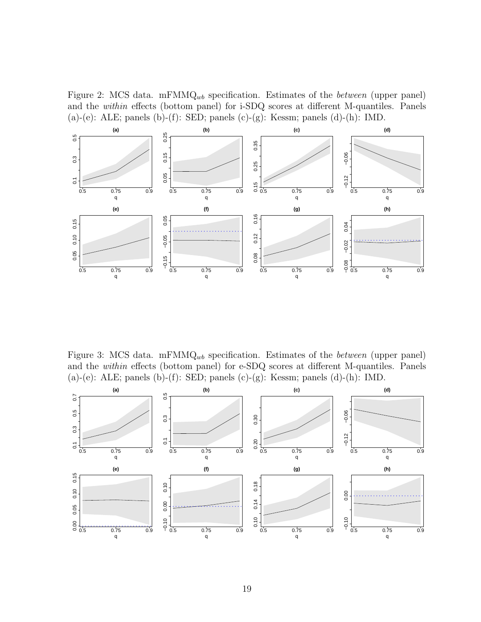Figure 2: MCS data. mFMM $Q_{wb}$  specification. Estimates of the *between* (upper panel) and the within effects (bottom panel) for i-SDQ scores at different M-quantiles. Panels  $(a)$ - $(e)$ : ALE; panels  $(b)$ - $(f)$ : SED; panels  $(c)$ - $(g)$ : Kessm; panels  $(d)$ - $(h)$ : IMD.



Figure 3: MCS data. mFMM $Q_{wb}$  specification. Estimates of the *between* (upper panel) and the within effects (bottom panel) for e-SDQ scores at different M-quantiles. Panels (a)-(e): ALE; panels (b)-(f): SED; panels (c)-(g): Kessm; panels (d)-(h): IMD.

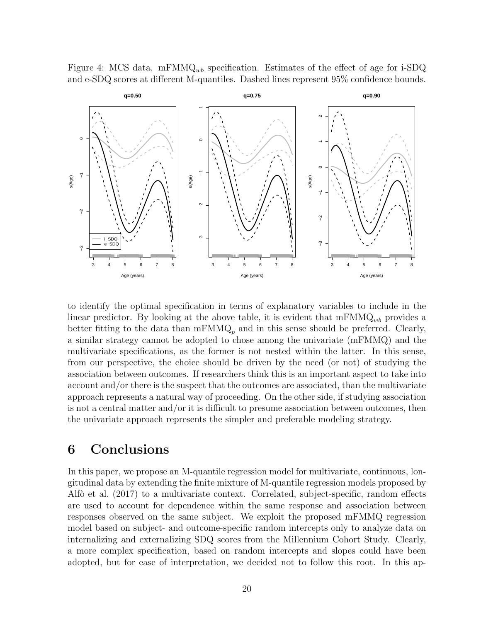Figure 4: MCS data. mFMM $Q_{wb}$  specification. Estimates of the effect of age for i-SDQ and e-SDQ scores at different M-quantiles. Dashed lines represent 95% confidence bounds.



to identify the optimal specification in terms of explanatory variables to include in the linear predictor. By looking at the above table, it is evident that  $mFMMQ_{wb}$  provides a better fitting to the data than  $mFMMQ_p$  and in this sense should be preferred. Clearly, a similar strategy cannot be adopted to chose among the univariate (mFMMQ) and the multivariate specifications, as the former is not nested within the latter. In this sense, from our perspective, the choice should be driven by the need (or not) of studying the association between outcomes. If researchers think this is an important aspect to take into account and/or there is the suspect that the outcomes are associated, than the multivariate approach represents a natural way of proceeding. On the other side, if studying association is not a central matter and/or it is difficult to presume association between outcomes, then the univariate approach represents the simpler and preferable modeling strategy.

# 6 Conclusions

In this paper, we propose an M-quantile regression model for multivariate, continuous, longitudinal data by extending the finite mixture of M-quantile regression models proposed by Alfò et al. (2017) to a multivariate context. Correlated, subject-specific, random effects are used to account for dependence within the same response and association between responses observed on the same subject. We exploit the proposed mFMMQ regression model based on subject- and outcome-specific random intercepts only to analyze data on internalizing and externalizing SDQ scores from the Millennium Cohort Study. Clearly, a more complex specification, based on random intercepts and slopes could have been adopted, but for ease of interpretation, we decided not to follow this root. In this ap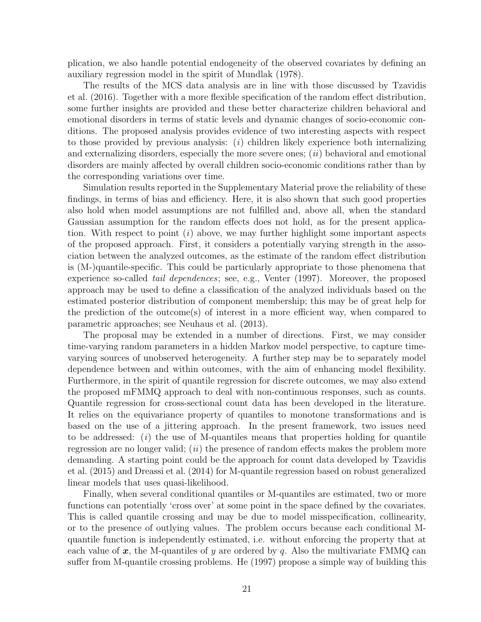plication, we also handle potential endogeneity of the observed covariates by defining an auxiliary regression model in the spirit of Mundlak (1978).

The results of the MCS data analysis are in line with those discussed by Tzavidis et al. (2016). Together with a more flexible specification of the random effect distribution, some further insights are provided and these better characterize children behavioral and emotional disorders in terms of static levels and dynamic changes of socio-economic conditions. The proposed analysis provides evidence of two interesting aspects with respect to those provided by previous analysis:  $(i)$  children likely experience both internalizing and externalizing disorders, especially the more severe ones;  $(ii)$  behavioral and emotional disorders are mainly affected by overall children socio-economic conditions rather than by the corresponding variations over time.

Simulation results reported in the Supplementary Material prove the reliability of these findings, in terms of bias and efficiency. Here, it is also shown that such good properties also hold when model assumptions are not fulfilled and, above all, when the standard Gaussian assumption for the random effects does not hold, as for the present application. With respect to point  $(i)$  above, we may further highlight some important aspects of the proposed approach. First, it considers a potentially varying strength in the association between the analyzed outcomes, as the estimate of the random effect distribution is (M-)quantile-specific. This could be particularly appropriate to those phenomena that experience so-called tail dependences; see, e.g., Venter (1997). Moreover, the proposed approach may be used to define a classification of the analyzed individuals based on the estimated posterior distribution of component membership; this may be of great help for the prediction of the outcome(s) of interest in a more efficient way, when compared to parametric approaches; see Neuhaus et al. (2013).

The proposal may be extended in a number of directions. First, we may consider time-varying random parameters in a hidden Markov model perspective, to capture timevarying sources of unobserved heterogeneity. A further step may be to separately model dependence between and within outcomes, with the aim of enhancing model flexibility. Furthermore, in the spirit of quantile regression for discrete outcomes, we may also extend the proposed mFMMQ approach to deal with non-continuous responses, such as counts. Quantile regression for cross-sectional count data has been developed in the literature. It relies on the equivariance property of quantiles to monotone transformations and is based on the use of a jittering approach. In the present framework, two issues need to be addressed:  $(i)$  the use of M-quantiles means that properties holding for quantile regression are no longer valid;  $(ii)$  the presence of random effects makes the problem more demanding. A starting point could be the approach for count data developed by Tzavidis et al. (2015) and Dreassi et al. (2014) for M-quantile regression based on robust generalized linear models that uses quasi-likelihood.

Finally, when several conditional quantiles or M-quantiles are estimated, two or more functions can potentially 'cross over' at some point in the space defined by the covariates. This is called quantile crossing and may be due to model misspecification, collinearity, or to the presence of outlying values. The problem occurs because each conditional Mquantile function is independently estimated, i.e. without enforcing the property that at each value of  $x$ , the M-quantiles of y are ordered by q. Also the multivariate FMMQ can suffer from M-quantile crossing problems. He (1997) propose a simple way of building this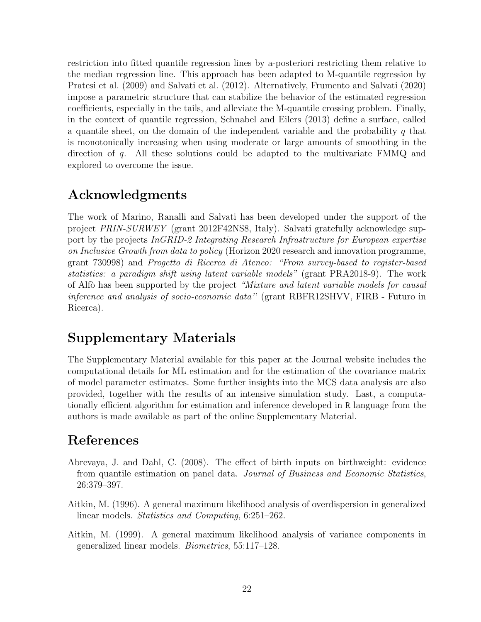restriction into fitted quantile regression lines by a-posteriori restricting them relative to the median regression line. This approach has been adapted to M-quantile regression by Pratesi et al. (2009) and Salvati et al. (2012). Alternatively, Frumento and Salvati (2020) impose a parametric structure that can stabilize the behavior of the estimated regression coefficients, especially in the tails, and alleviate the M-quantile crossing problem. Finally, in the context of quantile regression, Schnabel and Eilers (2013) define a surface, called a quantile sheet, on the domain of the independent variable and the probability q that is monotonically increasing when using moderate or large amounts of smoothing in the direction of q. All these solutions could be adapted to the multivariate FMMQ and explored to overcome the issue.

# Acknowledgments

The work of Marino, Ranalli and Salvati has been developed under the support of the project PRIN-SURWEY (grant 2012F42NS8, Italy). Salvati gratefully acknowledge support by the projects InGRID-2 Integrating Research Infrastructure for European expertise on Inclusive Growth from data to policy (Horizon 2020 research and innovation programme, grant 730998) and Progetto di Ricerca di Ateneo: "From survey-based to register-based statistics: a paradigm shift using latent variable models" (grant PRA2018-9). The work of Alfò has been supported by the project "Mixture and latent variable models for causal inference and analysis of socio-economic data'' (grant RBFR12SHVV, FIRB - Futuro in Ricerca).

# Supplementary Materials

The Supplementary Material available for this paper at the Journal website includes the computational details for ML estimation and for the estimation of the covariance matrix of model parameter estimates. Some further insights into the MCS data analysis are also provided, together with the results of an intensive simulation study. Last, a computationally efficient algorithm for estimation and inference developed in R language from the authors is made available as part of the online Supplementary Material.

# References

- Abrevaya, J. and Dahl, C. (2008). The effect of birth inputs on birthweight: evidence from quantile estimation on panel data. Journal of Business and Economic Statistics, 26:379–397.
- Aitkin, M. (1996). A general maximum likelihood analysis of overdispersion in generalized linear models. Statistics and Computing, 6:251–262.
- Aitkin, M. (1999). A general maximum likelihood analysis of variance components in generalized linear models. Biometrics, 55:117–128.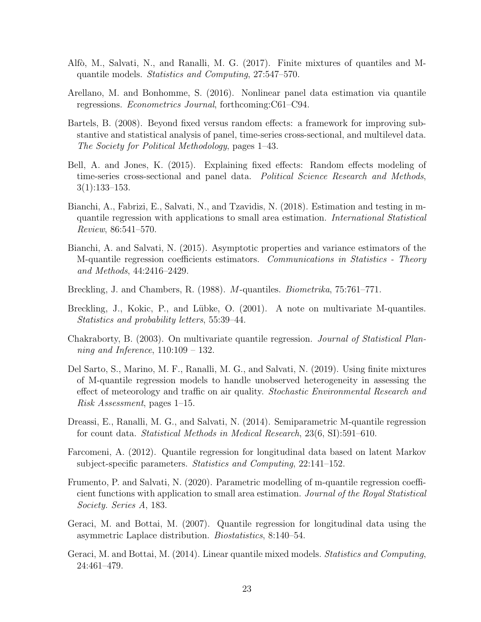- Alfò, M., Salvati, N., and Ranalli, M. G. (2017). Finite mixtures of quantiles and Mquantile models. Statistics and Computing, 27:547–570.
- Arellano, M. and Bonhomme, S. (2016). Nonlinear panel data estimation via quantile regressions. Econometrics Journal, forthcoming:C61–C94.
- Bartels, B. (2008). Beyond fixed versus random effects: a framework for improving substantive and statistical analysis of panel, time-series cross-sectional, and multilevel data. The Society for Political Methodology, pages 1–43.
- Bell, A. and Jones, K. (2015). Explaining fixed effects: Random effects modeling of time-series cross-sectional and panel data. Political Science Research and Methods, 3(1):133–153.
- Bianchi, A., Fabrizi, E., Salvati, N., and Tzavidis, N. (2018). Estimation and testing in mquantile regression with applications to small area estimation. International Statistical Review, 86:541–570.
- Bianchi, A. and Salvati, N. (2015). Asymptotic properties and variance estimators of the M-quantile regression coefficients estimators. Communications in Statistics - Theory and Methods, 44:2416–2429.
- Breckling, J. and Chambers, R. (1988). M-quantiles. Biometrika, 75:761–771.
- Breckling, J., Kokic, P., and Lübke, O. (2001). A note on multivariate M-quantiles. Statistics and probability letters, 55:39–44.
- Chakraborty, B. (2003). On multivariate quantile regression. Journal of Statistical Planning and Inference,  $110:109 - 132$ .
- Del Sarto, S., Marino, M. F., Ranalli, M. G., and Salvati, N. (2019). Using finite mixtures of M-quantile regression models to handle unobserved heterogeneity in assessing the effect of meteorology and traffic on air quality. Stochastic Environmental Research and Risk Assessment, pages 1–15.
- Dreassi, E., Ranalli, M. G., and Salvati, N. (2014). Semiparametric M-quantile regression for count data. Statistical Methods in Medical Research, 23(6, SI):591–610.
- Farcomeni, A. (2012). Quantile regression for longitudinal data based on latent Markov subject-specific parameters. Statistics and Computing, 22:141–152.
- Frumento, P. and Salvati, N. (2020). Parametric modelling of m-quantile regression coefficient functions with application to small area estimation. Journal of the Royal Statistical Society. Series A, 183.
- Geraci, M. and Bottai, M. (2007). Quantile regression for longitudinal data using the asymmetric Laplace distribution. Biostatistics, 8:140–54.
- Geraci, M. and Bottai, M. (2014). Linear quantile mixed models. Statistics and Computing, 24:461–479.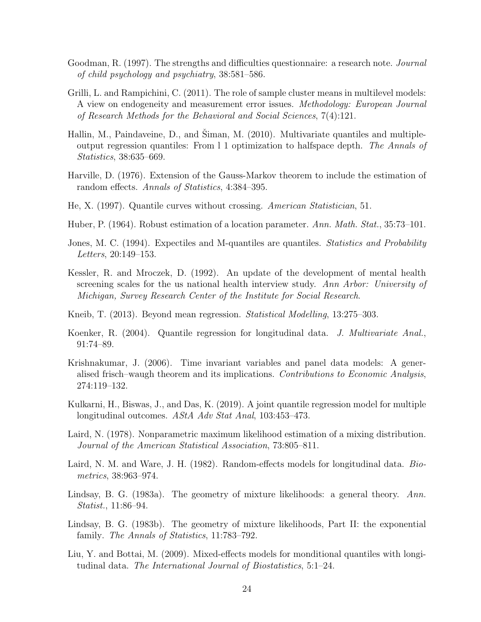- Goodman, R. (1997). The strengths and difficulties questionnaire: a research note. Journal of child psychology and psychiatry, 38:581–586.
- Grilli, L. and Rampichini, C. (2011). The role of sample cluster means in multilevel models: A view on endogeneity and measurement error issues. Methodology: European Journal of Research Methods for the Behavioral and Social Sciences, 7(4):121.
- Hallin, M., Paindaveine, D., and Siman, M.  $(2010)$ . Multivariate quantiles and multipleoutput regression quantiles: From l 1 optimization to halfspace depth. The Annals of Statistics, 38:635–669.
- Harville, D. (1976). Extension of the Gauss-Markov theorem to include the estimation of random effects. Annals of Statistics, 4:384–395.
- He, X. (1997). Quantile curves without crossing. American Statistician, 51.
- Huber, P. (1964). Robust estimation of a location parameter. Ann. Math. Stat., 35:73–101.
- Jones, M. C. (1994). Expectiles and M-quantiles are quantiles. *Statistics and Probability* Letters, 20:149–153.
- Kessler, R. and Mroczek, D. (1992). An update of the development of mental health screening scales for the us national health interview study. Ann Arbor: University of Michigan, Survey Research Center of the Institute for Social Research.
- Kneib, T. (2013). Beyond mean regression. Statistical Modelling, 13:275–303.
- Koenker, R. (2004). Quantile regression for longitudinal data. J. Multivariate Anal., 91:74–89.
- Krishnakumar, J. (2006). Time invariant variables and panel data models: A generalised frisch–waugh theorem and its implications. Contributions to Economic Analysis, 274:119–132.
- Kulkarni, H., Biswas, J., and Das, K. (2019). A joint quantile regression model for multiple longitudinal outcomes. AStA Adv Stat Anal, 103:453–473.
- Laird, N. (1978). Nonparametric maximum likelihood estimation of a mixing distribution. Journal of the American Statistical Association, 73:805–811.
- Laird, N. M. and Ware, J. H. (1982). Random-effects models for longitudinal data. *Bio*metrics, 38:963–974.
- Lindsay, B. G. (1983a). The geometry of mixture likelihoods: a general theory. Ann. Statist., 11:86–94.
- Lindsay, B. G. (1983b). The geometry of mixture likelihoods, Part II: the exponential family. The Annals of Statistics, 11:783–792.
- Liu, Y. and Bottai, M. (2009). Mixed-effects models for monditional quantiles with longitudinal data. The International Journal of Biostatistics, 5:1–24.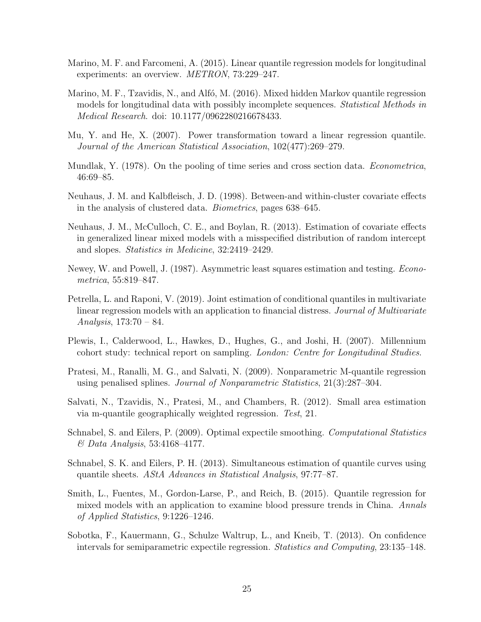- Marino, M. F. and Farcomeni, A. (2015). Linear quantile regression models for longitudinal experiments: an overview. METRON, 73:229–247.
- Marino, M. F., Tzavidis, N., and Alfó, M. (2016). Mixed hidden Markov quantile regression models for longitudinal data with possibly incomplete sequences. *Statistical Methods in* Medical Research. doi: 10.1177/0962280216678433.
- Mu, Y. and He, X. (2007). Power transformation toward a linear regression quantile. Journal of the American Statistical Association, 102(477):269–279.
- Mundlak, Y. (1978). On the pooling of time series and cross section data. *Econometrica*, 46:69–85.
- Neuhaus, J. M. and Kalbfleisch, J. D. (1998). Between-and within-cluster covariate effects in the analysis of clustered data. Biometrics, pages 638–645.
- Neuhaus, J. M., McCulloch, C. E., and Boylan, R. (2013). Estimation of covariate effects in generalized linear mixed models with a misspecified distribution of random intercept and slopes. Statistics in Medicine, 32:2419–2429.
- Newey, W. and Powell, J. (1987). Asymmetric least squares estimation and testing. Econometrica, 55:819–847.
- Petrella, L. and Raponi, V. (2019). Joint estimation of conditional quantiles in multivariate linear regression models with an application to financial distress. Journal of Multivariate Analysis, 173:70 – 84.
- Plewis, I., Calderwood, L., Hawkes, D., Hughes, G., and Joshi, H. (2007). Millennium cohort study: technical report on sampling. London: Centre for Longitudinal Studies.
- Pratesi, M., Ranalli, M. G., and Salvati, N. (2009). Nonparametric M-quantile regression using penalised splines. Journal of Nonparametric Statistics, 21(3):287–304.
- Salvati, N., Tzavidis, N., Pratesi, M., and Chambers, R. (2012). Small area estimation via m-quantile geographically weighted regression. Test, 21.
- Schnabel, S. and Eilers, P. (2009). Optimal expectile smoothing. Computational Statistics & Data Analysis, 53:4168–4177.
- Schnabel, S. K. and Eilers, P. H. (2013). Simultaneous estimation of quantile curves using quantile sheets. AStA Advances in Statistical Analysis, 97:77–87.
- Smith, L., Fuentes, M., Gordon-Larse, P., and Reich, B. (2015). Quantile regression for mixed models with an application to examine blood pressure trends in China. Annals of Applied Statistics, 9:1226–1246.
- Sobotka, F., Kauermann, G., Schulze Waltrup, L., and Kneib, T. (2013). On confidence intervals for semiparametric expectile regression. Statistics and Computing, 23:135–148.